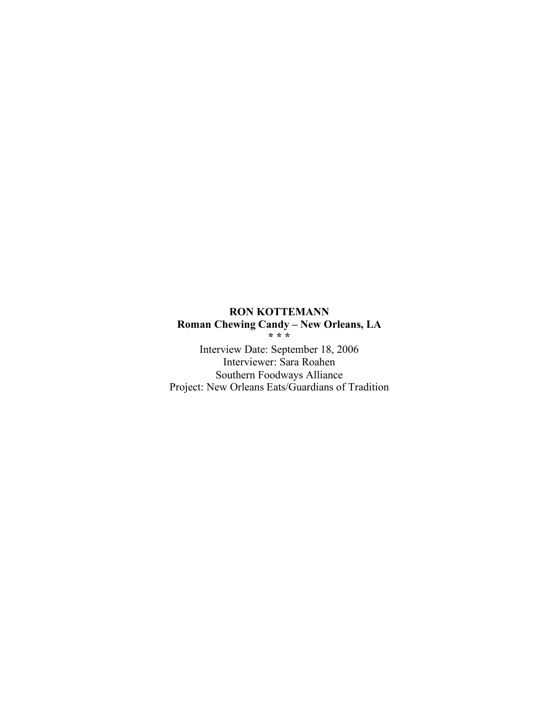# **RON KOTTEMANN Roman Chewing Candy – New Orleans, LA \* \* \***

Interview Date: September 18, 2006 Interviewer: Sara Roahen Southern Foodways Alliance Project: New Orleans Eats/Guardians of Tradition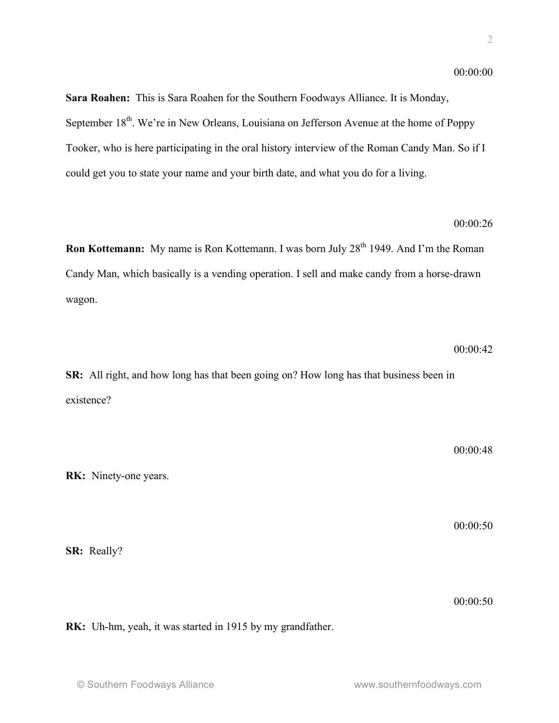**Sara Roahen:** This is Sara Roahen for the Southern Foodways Alliance. It is Monday, September 18<sup>th</sup>. We're in New Orleans, Louisiana on Jefferson Avenue at the home of Poppy Tooker, who is here participating in the oral history interview of the Roman Candy Man. So if I could get you to state your name and your birth date, and what you do for a living.

## 00:00:26

**Ron Kottemann:** My name is Ron Kottemann. I was born July 28<sup>th</sup> 1949. And I'm the Roman Candy Man, which basically is a vending operation. I sell and make candy from a horse-drawn wagon.

00:00:42

**SR:** All right, and how long has that been going on? How long has that business been in existence?

00:00:48

00:00:50

00:00:50

**RK:** Uh-hm, yeah, it was started in 1915 by my grandfather.

**RK:** Ninety-one years.

**SR:** Really?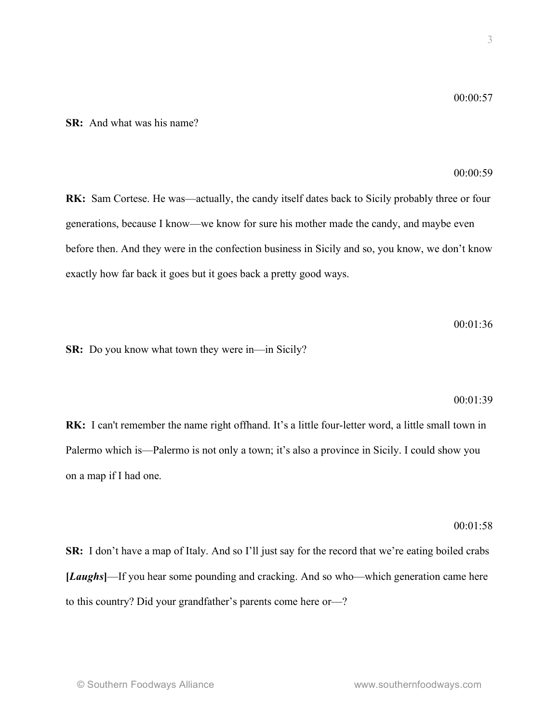# **SR:** And what was his name?

## 00:00:59

**RK:** Sam Cortese. He was—actually, the candy itself dates back to Sicily probably three or four generations, because I know—we know for sure his mother made the candy, and maybe even before then. And they were in the confection business in Sicily and so, you know, we don't know exactly how far back it goes but it goes back a pretty good ways.

00:01:36

**SR:** Do you know what town they were in—in Sicily?

#### 00:01:39

**RK:** I can't remember the name right offhand. It's a little four-letter word, a little small town in Palermo which is—Palermo is not only a town; it's also a province in Sicily. I could show you on a map if I had one.

### 00:01:58

**SR:** I don't have a map of Italy. And so I'll just say for the record that we're eating boiled crabs **[***Laughs***]**—If you hear some pounding and cracking. And so who—which generation came here to this country? Did your grandfather's parents come here or—?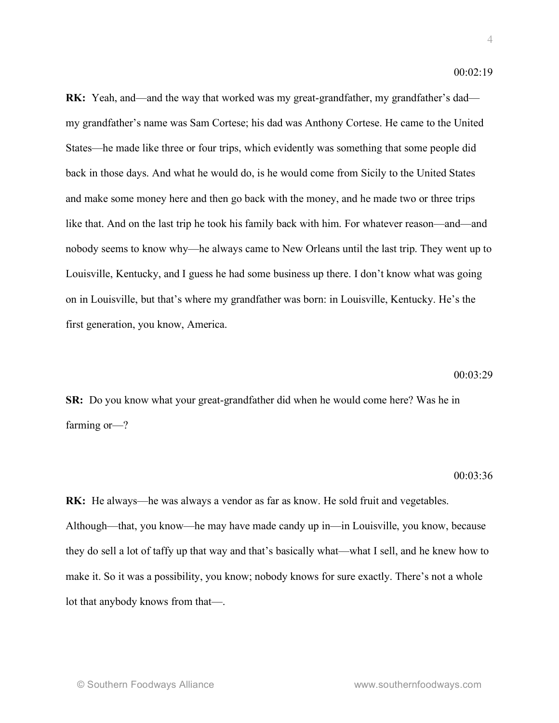**RK:** Yeah, and—and the way that worked was my great-grandfather, my grandfather's dad my grandfather's name was Sam Cortese; his dad was Anthony Cortese. He came to the United States—he made like three or four trips, which evidently was something that some people did back in those days. And what he would do, is he would come from Sicily to the United States and make some money here and then go back with the money, and he made two or three trips like that. And on the last trip he took his family back with him. For whatever reason—and—and nobody seems to know why—he always came to New Orleans until the last trip. They went up to Louisville, Kentucky, and I guess he had some business up there. I don't know what was going on in Louisville, but that's where my grandfather was born: in Louisville, Kentucky. He's the first generation, you know, America.

#### 00:03:29

**SR:** Do you know what your great-grandfather did when he would come here? Was he in farming or—?

#### 00:03:36

**RK:** He always—he was always a vendor as far as know. He sold fruit and vegetables. Although—that, you know—he may have made candy up in—in Louisville, you know, because they do sell a lot of taffy up that way and that's basically what—what I sell, and he knew how to make it. So it was a possibility, you know; nobody knows for sure exactly. There's not a whole lot that anybody knows from that—.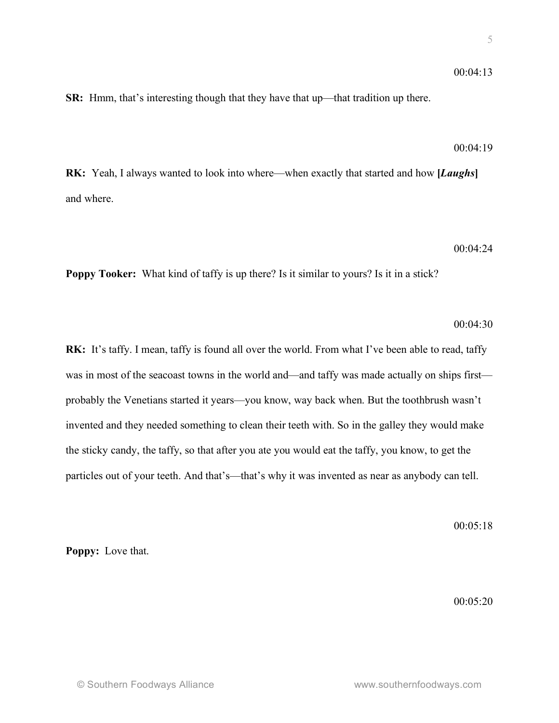## 00:04:13

**SR:** Hmm, that's interesting though that they have that up—that tradition up there.

### $00.04.19$

**RK:** Yeah, I always wanted to look into where—when exactly that started and how **[***Laughs***]** and where.

### 00:04:24

**Poppy Tooker:** What kind of taffy is up there? Is it similar to yours? Is it in a stick?

## 00:04:30

**RK:** It's taffy. I mean, taffy is found all over the world. From what I've been able to read, taffy was in most of the seacoast towns in the world and—and taffy was made actually on ships first probably the Venetians started it years—you know, way back when. But the toothbrush wasn't invented and they needed something to clean their teeth with. So in the galley they would make the sticky candy, the taffy, so that after you ate you would eat the taffy, you know, to get the particles out of your teeth. And that's—that's why it was invented as near as anybody can tell.

00:05:18

**Poppy:** Love that.

00:05:20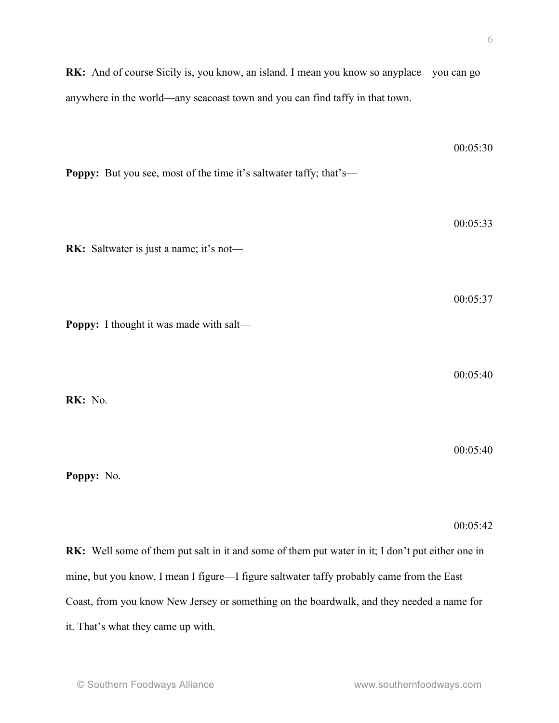**RK:** And of course Sicily is, you know, an island. I mean you know so anyplace—you can go anywhere in the world—any seacoast town and you can find taffy in that town.

| Poppy: But you see, most of the time it's saltwater taffy; that's-                               | 00:05:30 |
|--------------------------------------------------------------------------------------------------|----------|
|                                                                                                  | 00:05:33 |
| RK: Saltwater is just a name; it's not-                                                          |          |
| Poppy: I thought it was made with salt-                                                          | 00:05:37 |
|                                                                                                  |          |
| RK: No.                                                                                          | 00:05:40 |
|                                                                                                  | 00:05:40 |
| Poppy: No.                                                                                       |          |
|                                                                                                  | 00:05:42 |
| RK: Well some of them put salt in it and some of them put water in it; I don't put either one in |          |

Coast, from you know New Jersey or something on the boardwalk, and they needed a name for

mine, but you know, I mean I figure—I figure saltwater taffy probably came from the East

it. That's what they came up with.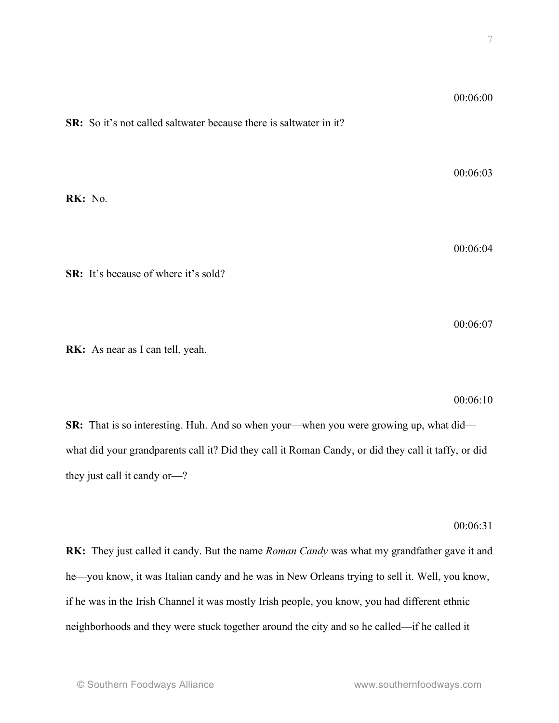| <b>SR:</b> So it's not called saltwater because there is saltwater in it? | 00:06:00 |
|---------------------------------------------------------------------------|----------|
| RK: No.                                                                   | 00:06:03 |
|                                                                           | 00:06:04 |

**SR:** It's because of where it's sold?

**RK:** As near as I can tell, yeah.

00:06:10

00:06:07

**SR:** That is so interesting. Huh. And so when your—when you were growing up, what did what did your grandparents call it? Did they call it Roman Candy, or did they call it taffy, or did they just call it candy or—?

00:06:31

**RK:** They just called it candy. But the name *Roman Candy* was what my grandfather gave it and he—you know, it was Italian candy and he was in New Orleans trying to sell it. Well, you know, if he was in the Irish Channel it was mostly Irish people, you know, you had different ethnic neighborhoods and they were stuck together around the city and so he called—if he called it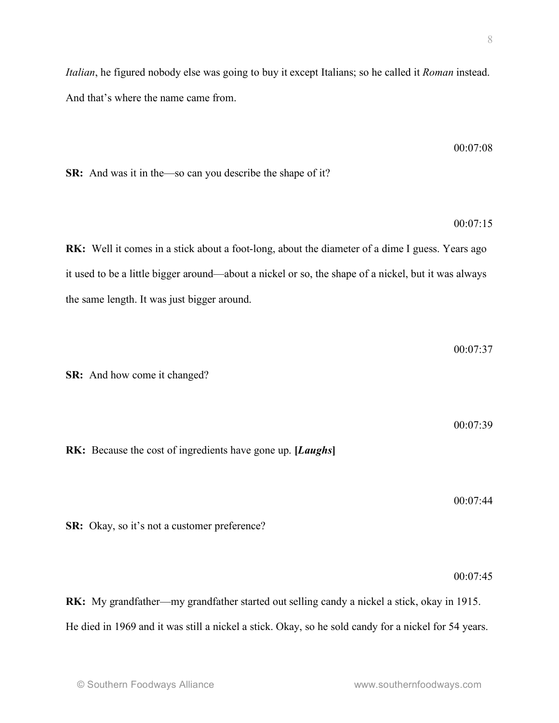00:07:08

00:07:15

 $00.0737$ 

00:07:39

*Italian*, he figured nobody else was going to buy it except Italians; so he called it *Roman* instead. And that's where the name came from.

**SR:** And was it in the—so can you describe the shape of it?

**RK:** Well it comes in a stick about a foot-long, about the diameter of a dime I guess. Years ago it used to be a little bigger around—about a nickel or so, the shape of a nickel, but it was always the same length. It was just bigger around.

**SR:** And how come it changed?

**RK:** Because the cost of ingredients have gone up. **[***Laughs***]**

00:07:44

**SR:** Okay, so it's not a customer preference?

00:07:45

**RK:** My grandfather—my grandfather started out selling candy a nickel a stick, okay in 1915. He died in 1969 and it was still a nickel a stick. Okay, so he sold candy for a nickel for 54 years.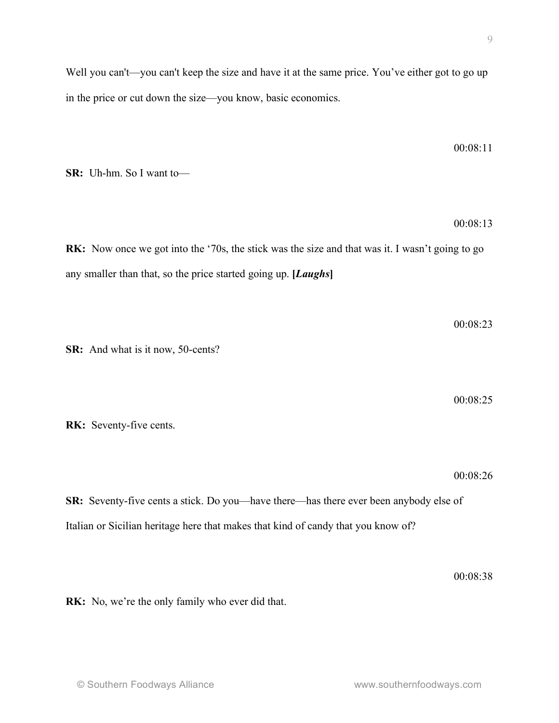**RK:** No, we're the only family who ever did that.

Well you can't—you can't keep the size and have it at the same price. You've either got to go up in the price or cut down the size—you know, basic economics.

**SR:** Uh-hm. So I want to—

00:08:13

00:08:23

00:08:25

00:08:11

**RK:** Now once we got into the '70s, the stick was the size and that was it. I wasn't going to go any smaller than that, so the price started going up. **[***Laughs***]**

**SR:** And what is it now, 50-cents?

**RK:** Seventy-five cents.

00:08:26

**SR:** Seventy-five cents a stick. Do you—have there—has there ever been anybody else of Italian or Sicilian heritage here that makes that kind of candy that you know of?

00:08:38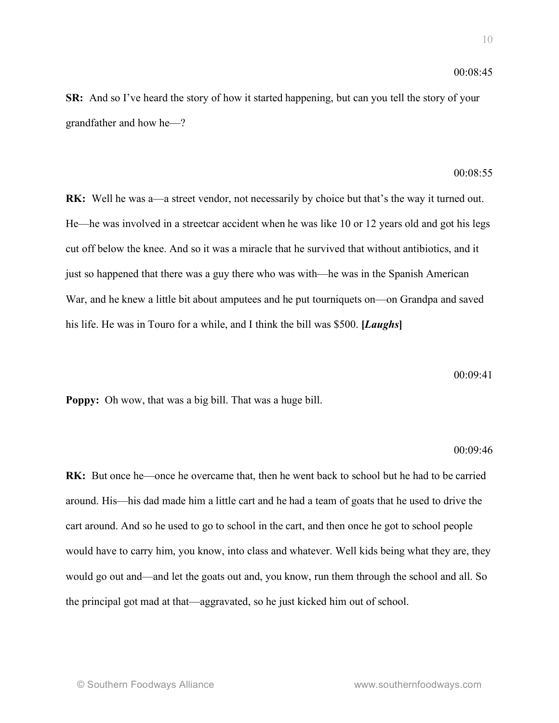**SR:** And so I've heard the story of how it started happening, but can you tell the story of your grandfather and how he—?

## 00:08:55

**RK:** Well he was a—a street vendor, not necessarily by choice but that's the way it turned out. He—he was involved in a streetcar accident when he was like 10 or 12 years old and got his legs cut off below the knee. And so it was a miracle that he survived that without antibiotics, and it just so happened that there was a guy there who was with—he was in the Spanish American War, and he knew a little bit about amputees and he put tourniquets on—on Grandpa and saved his life. He was in Touro for a while, and I think the bill was \$500. **[***Laughs***]**

00:09:41

**Poppy:** Oh wow, that was a big bill. That was a huge bill.

#### 00:09:46

**RK:** But once he—once he overcame that, then he went back to school but he had to be carried around. His—his dad made him a little cart and he had a team of goats that he used to drive the cart around. And so he used to go to school in the cart, and then once he got to school people would have to carry him, you know, into class and whatever. Well kids being what they are, they would go out and—and let the goats out and, you know, run them through the school and all. So the principal got mad at that—aggravated, so he just kicked him out of school.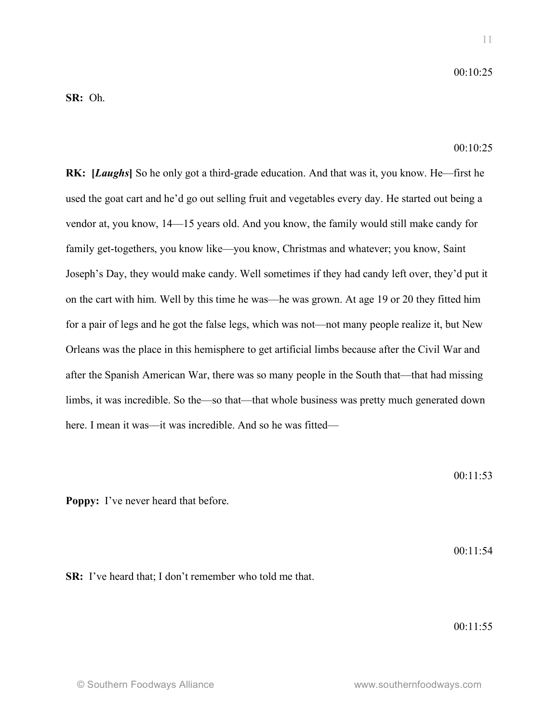$00.10.25$ 

 $00.10.25$ 

**RK: [***Laughs***]** So he only got a third-grade education. And that was it, you know. He—first he used the goat cart and he'd go out selling fruit and vegetables every day. He started out being a vendor at, you know, 14—15 years old. And you know, the family would still make candy for family get-togethers, you know like—you know, Christmas and whatever; you know, Saint Joseph's Day, they would make candy. Well sometimes if they had candy left over, they'd put it on the cart with him. Well by this time he was—he was grown. At age 19 or 20 they fitted him for a pair of legs and he got the false legs, which was not—not many people realize it, but New Orleans was the place in this hemisphere to get artificial limbs because after the Civil War and after the Spanish American War, there was so many people in the South that—that had missing limbs, it was incredible. So the—so that—that whole business was pretty much generated down here. I mean it was—it was incredible. And so he was fitted—

00:11:53

**Poppy:** I've never heard that before.

00:11:54

**SR:** I've heard that; I don't remember who told me that.

00:11:55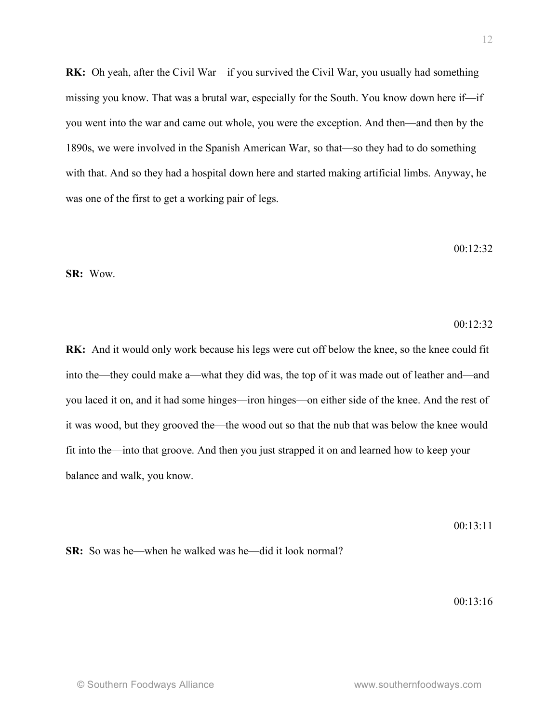**RK:** Oh yeah, after the Civil War—if you survived the Civil War, you usually had something missing you know. That was a brutal war, especially for the South. You know down here if—if you went into the war and came out whole, you were the exception. And then—and then by the 1890s, we were involved in the Spanish American War, so that—so they had to do something with that. And so they had a hospital down here and started making artificial limbs. Anyway, he was one of the first to get a working pair of legs.

$$
00:12:32
$$

**SR:** Wow.

### 00:12:32

**RK:** And it would only work because his legs were cut off below the knee, so the knee could fit into the—they could make a—what they did was, the top of it was made out of leather and—and you laced it on, and it had some hinges—iron hinges—on either side of the knee. And the rest of it was wood, but they grooved the—the wood out so that the nub that was below the knee would fit into the—into that groove. And then you just strapped it on and learned how to keep your balance and walk, you know.

 $00.13.11$ 

**SR:** So was he—when he walked was he—did it look normal?

00:13:16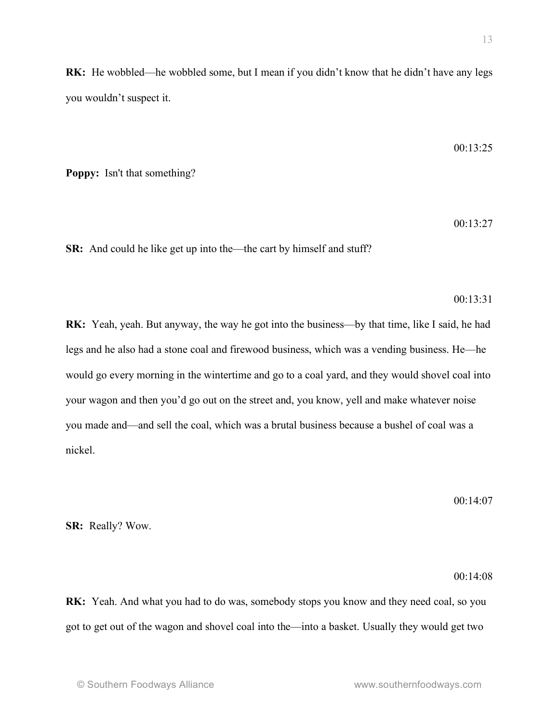**RK:** He wobbled—he wobbled some, but I mean if you didn't know that he didn't have any legs you wouldn't suspect it.

$$
00:13:25
$$

**Poppy:** Isn't that something?

00:13:27

**SR:** And could he like get up into the—the cart by himself and stuff?

### 00:13:31

**RK:** Yeah, yeah. But anyway, the way he got into the business—by that time, like I said, he had legs and he also had a stone coal and firewood business, which was a vending business. He—he would go every morning in the wintertime and go to a coal yard, and they would shovel coal into your wagon and then you'd go out on the street and, you know, yell and make whatever noise you made and—and sell the coal, which was a brutal business because a bushel of coal was a nickel.

00:14:07

**SR:** Really? Wow.

### $00.14.08$

**RK:** Yeah. And what you had to do was, somebody stops you know and they need coal, so you got to get out of the wagon and shovel coal into the—into a basket. Usually they would get two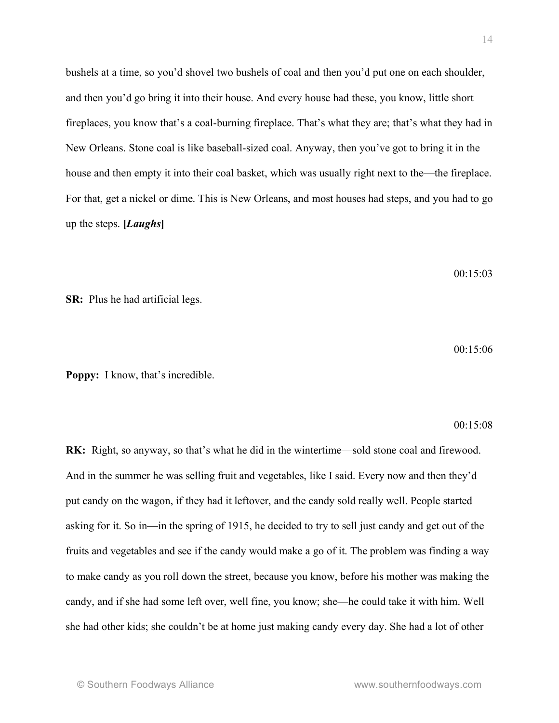bushels at a time, so you'd shovel two bushels of coal and then you'd put one on each shoulder, and then you'd go bring it into their house. And every house had these, you know, little short fireplaces, you know that's a coal-burning fireplace. That's what they are; that's what they had in New Orleans. Stone coal is like baseball-sized coal. Anyway, then you've got to bring it in the house and then empty it into their coal basket, which was usually right next to the—the fireplace. For that, get a nickel or dime. This is New Orleans, and most houses had steps, and you had to go up the steps. **[***Laughs***]**

00:15:03

**SR:** Plus he had artificial legs.

 $00.15:06$ 

**Poppy:** I know, that's incredible.

 $00.15.08$ 

**RK:** Right, so anyway, so that's what he did in the wintertime—sold stone coal and firewood. And in the summer he was selling fruit and vegetables, like I said. Every now and then they'd put candy on the wagon, if they had it leftover, and the candy sold really well. People started asking for it. So in—in the spring of 1915, he decided to try to sell just candy and get out of the fruits and vegetables and see if the candy would make a go of it. The problem was finding a way to make candy as you roll down the street, because you know, before his mother was making the candy, and if she had some left over, well fine, you know; she—he could take it with him. Well she had other kids; she couldn't be at home just making candy every day. She had a lot of other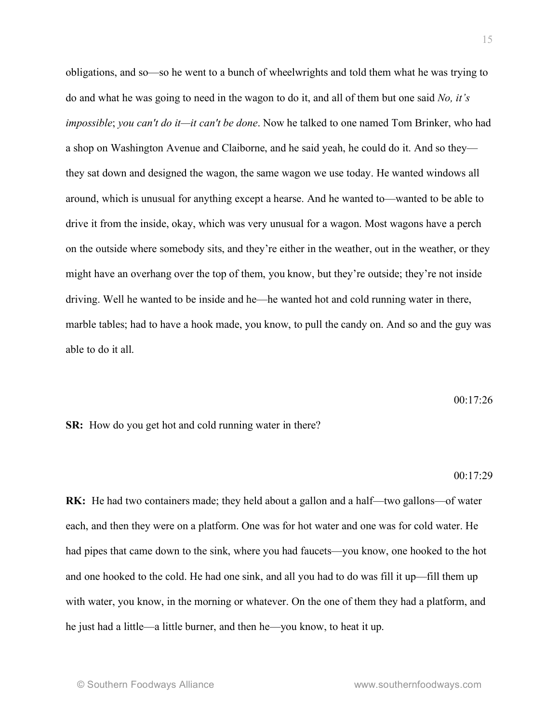obligations, and so—so he went to a bunch of wheelwrights and told them what he was trying to do and what he was going to need in the wagon to do it, and all of them but one said *No, it's impossible*; *you can't do it—it can't be done*. Now he talked to one named Tom Brinker, who had a shop on Washington Avenue and Claiborne, and he said yeah, he could do it. And so they they sat down and designed the wagon, the same wagon we use today. He wanted windows all around, which is unusual for anything except a hearse. And he wanted to—wanted to be able to drive it from the inside, okay, which was very unusual for a wagon. Most wagons have a perch on the outside where somebody sits, and they're either in the weather, out in the weather, or they might have an overhang over the top of them, you know, but they're outside; they're not inside driving. Well he wanted to be inside and he—he wanted hot and cold running water in there, marble tables; had to have a hook made, you know, to pull the candy on. And so and the guy was able to do it all.

00:17:26

**SR:** How do you get hot and cold running water in there?

### 00:17:29

**RK:** He had two containers made; they held about a gallon and a half—two gallons—of water each, and then they were on a platform. One was for hot water and one was for cold water. He had pipes that came down to the sink, where you had faucets—you know, one hooked to the hot and one hooked to the cold. He had one sink, and all you had to do was fill it up—fill them up with water, you know, in the morning or whatever. On the one of them they had a platform, and he just had a little—a little burner, and then he—you know, to heat it up.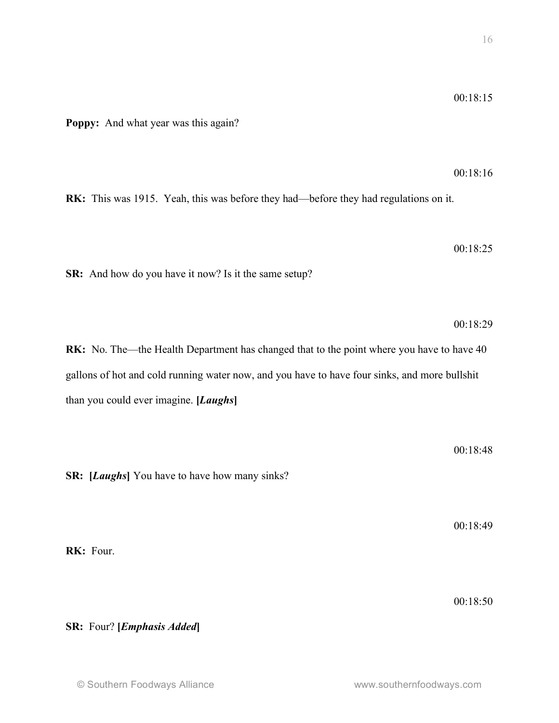**Poppy:** And what year was this again?

00:18:16

**RK:** This was 1915. Yeah, this was before they had—before they had regulations on it.

00:18:25

**SR:** And how do you have it now? Is it the same setup?

00:18:29

**RK:** No. The—the Health Department has changed that to the point where you have to have 40 gallons of hot and cold running water now, and you have to have four sinks, and more bullshit than you could ever imagine. **[***Laughs***]**

00:18:48

**SR: [***Laughs***]** You have to have how many sinks?

00:18:49

00:18:50

**RK:** Four.

**SR:** Four? **[***Emphasis Added***]**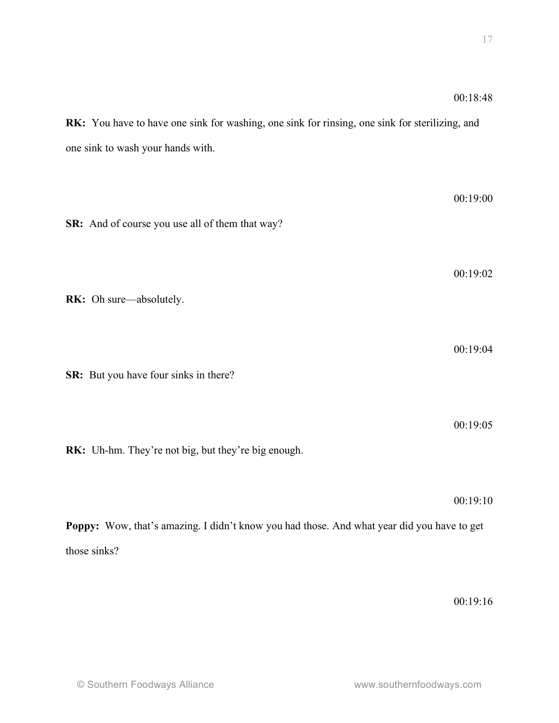**RK:** You have to have one sink for washing, one sink for rinsing, one sink for sterilizing, and one sink to wash your hands with.

00:19:00 **SR:** And of course you use all of them that way? 00:19:02 **RK:** Oh sure—absolutely. 00:19:04 **SR:** But you have four sinks in there? 00:19:05 **RK:** Uh-hm. They're not big, but they're big enough. 00:19:10 **Poppy:** Wow, that's amazing. I didn't know you had those. And what year did you have to get those sinks?

00:19:16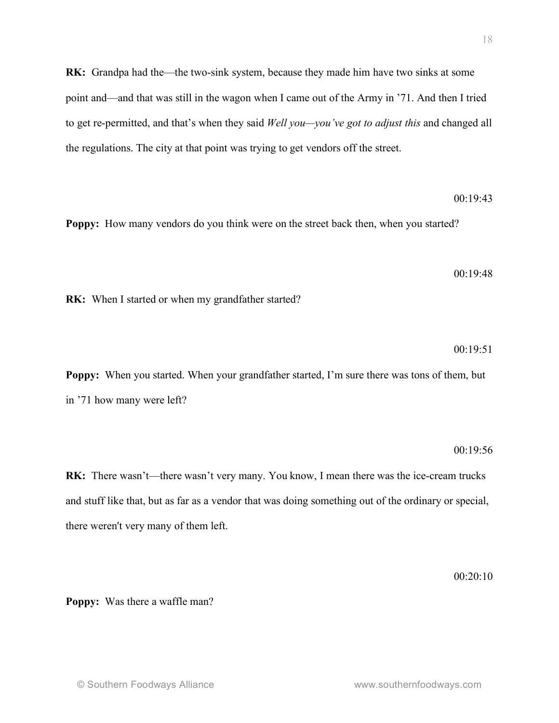**RK:** Grandpa had the—the two-sink system, because they made him have two sinks at some point and—and that was still in the wagon when I came out of the Army in '71. And then I tried to get re-permitted, and that's when they said *Well you—you've got to adjust this* and changed all the regulations. The city at that point was trying to get vendors off the street.

00:19:43

**Poppy:** How many vendors do you think were on the street back then, when you started?

 $00.19.48$ 

**RK:** When I started or when my grandfather started?

 $00.19.51$ 

**Poppy:** When you started. When your grandfather started, I'm sure there was tons of them, but in '71 how many were left?

#### 00:19:56

**RK:** There wasn't—there wasn't very many. You know, I mean there was the ice-cream trucks and stuff like that, but as far as a vendor that was doing something out of the ordinary or special, there weren't very many of them left.

 $00.20.10$ 

**Poppy:** Was there a waffle man?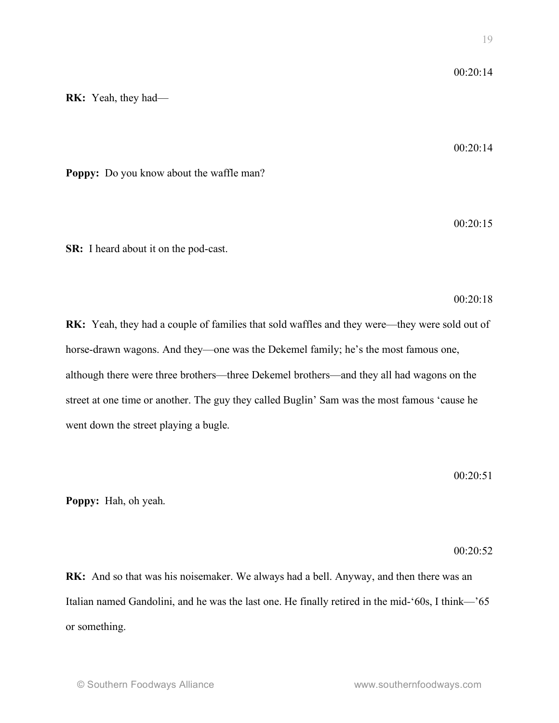**RK:** Yeah, they had—

 $00.20.14$ 

**Poppy:** Do you know about the waffle man?

00:20:15

**SR:** I heard about it on the pod-cast.

00:20:18

**RK:** Yeah, they had a couple of families that sold waffles and they were—they were sold out of horse-drawn wagons. And they—one was the Dekemel family; he's the most famous one, although there were three brothers—three Dekemel brothers—and they all had wagons on the street at one time or another. The guy they called Buglin' Sam was the most famous 'cause he went down the street playing a bugle.

00:20:51

**Poppy:** Hah, oh yeah.

00:20:52

**RK:** And so that was his noisemaker. We always had a bell. Anyway, and then there was an Italian named Gandolini, and he was the last one. He finally retired in the mid-'60s, I think—'65 or something.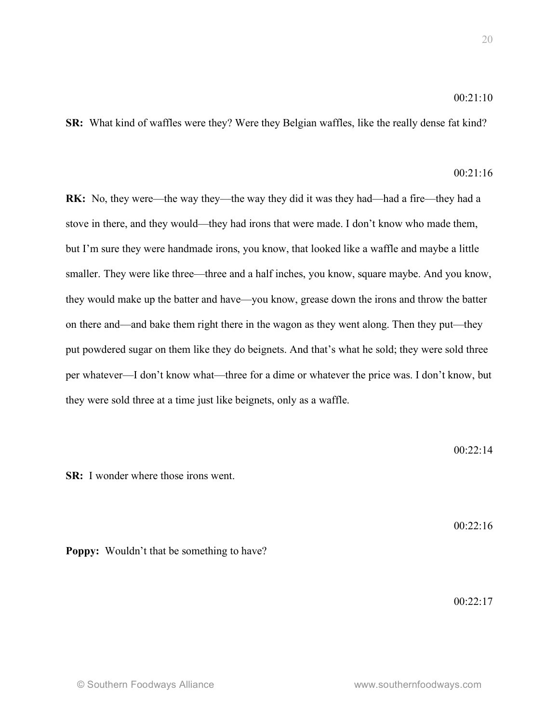## 00:21:10

**SR:** What kind of waffles were they? Were they Belgian waffles, like the really dense fat kind?

# $00.21.16$

**RK:** No, they were—the way they—the way they did it was they had—had a fire—they had a stove in there, and they would—they had irons that were made. I don't know who made them, but I'm sure they were handmade irons, you know, that looked like a waffle and maybe a little smaller. They were like three—three and a half inches, you know, square maybe. And you know, they would make up the batter and have—you know, grease down the irons and throw the batter on there and—and bake them right there in the wagon as they went along. Then they put—they put powdered sugar on them like they do beignets. And that's what he sold; they were sold three per whatever—I don't know what—three for a dime or whatever the price was. I don't know, but they were sold three at a time just like beignets, only as a waffle.

00:22:14

**SR:** I wonder where those irons went.

 $00.22:16$ 

## **Poppy:** Wouldn't that be something to have?

00:22:17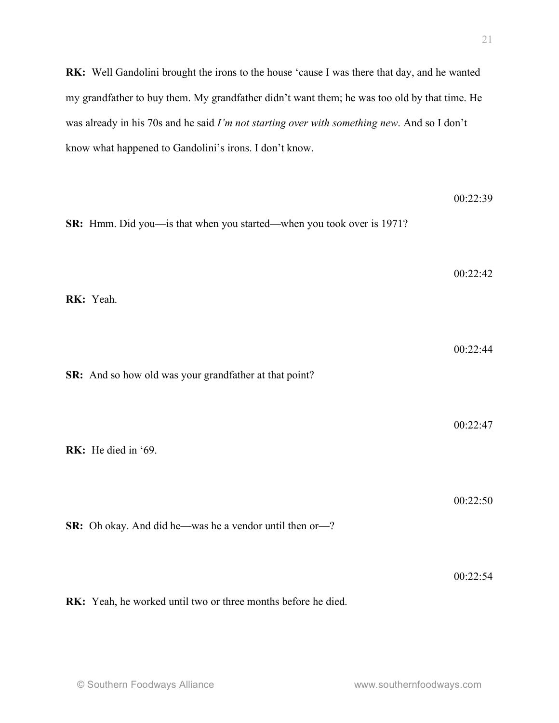**RK:** Well Gandolini brought the irons to the house 'cause I was there that day, and he wanted my grandfather to buy them. My grandfather didn't want them; he was too old by that time. He was already in his 70s and he said *I'm not starting over with something new*. And so I don't know what happened to Gandolini's irons. I don't know.

| SR: Hmm. Did you-is that when you started-when you took over is 1971? | 00:22:39 |
|-----------------------------------------------------------------------|----------|
| RK: Yeah.                                                             | 00:22:42 |
| SR: And so how old was your grandfather at that point?                | 00:22:44 |
| RK: He died in '69.                                                   | 00:22:47 |
| SR: Oh okay. And did he—was he a vendor until then or—?               | 00:22:50 |
| RK: Yeah, he worked until two or three months before he died.         | 00:22:54 |

21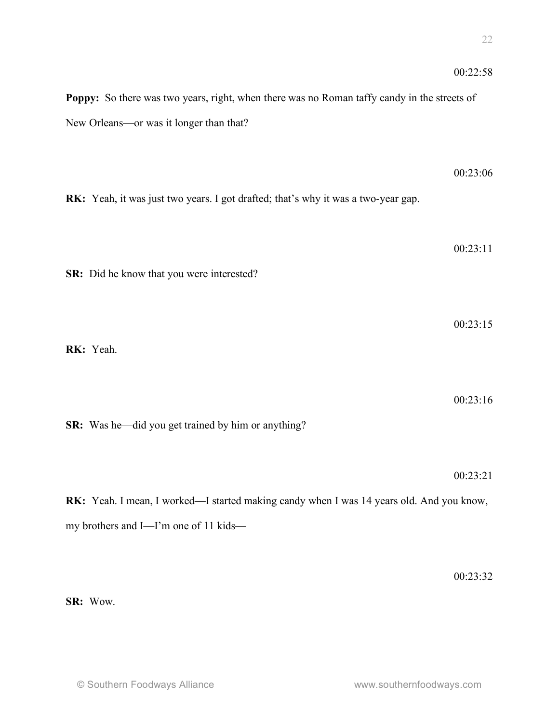|                                                                                             | 00:22:58 |
|---------------------------------------------------------------------------------------------|----------|
| Poppy: So there was two years, right, when there was no Roman taffy candy in the streets of |          |
| New Orleans-or was it longer than that?                                                     |          |
|                                                                                             |          |
|                                                                                             | 00:23:06 |
| RK: Yeah, it was just two years. I got drafted; that's why it was a two-year gap.           |          |
|                                                                                             |          |
|                                                                                             |          |
|                                                                                             | 00:23:11 |
| SR: Did he know that you were interested?                                                   |          |
|                                                                                             |          |
|                                                                                             | 00:23:15 |
| RK: Yeah.                                                                                   |          |
|                                                                                             |          |
|                                                                                             | 00:23:16 |
| <b>SR:</b> Was he—did you get trained by him or anything?                                   |          |
|                                                                                             |          |
|                                                                                             | 00:23:21 |
| RK: Yeah. I mean, I worked—I started making candy when I was 14 years old. And you know,    |          |
| my brothers and I-I'm one of 11 kids-                                                       |          |

00:23:32

**SR:** Wow.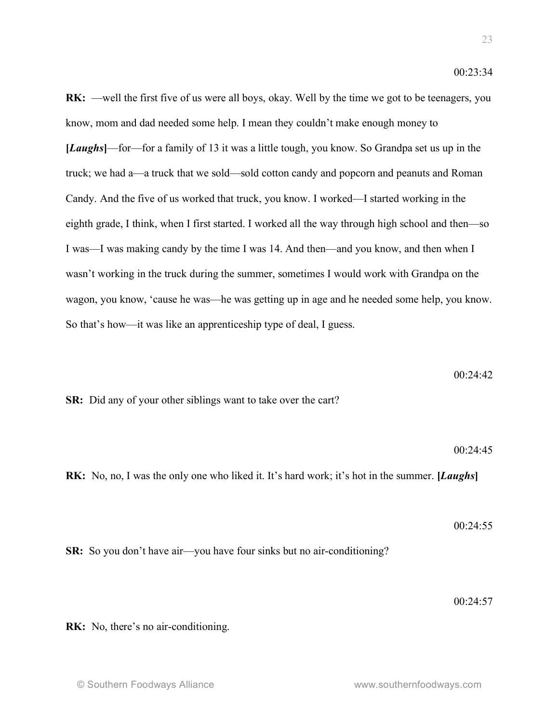**RK:** —well the first five of us were all boys, okay. Well by the time we got to be teenagers, you know, mom and dad needed some help. I mean they couldn't make enough money to **[***Laughs***]**—for—for a family of 13 it was a little tough, you know. So Grandpa set us up in the truck; we had a—a truck that we sold—sold cotton candy and popcorn and peanuts and Roman Candy. And the five of us worked that truck, you know. I worked—I started working in the eighth grade, I think, when I first started. I worked all the way through high school and then—so I was—I was making candy by the time I was 14. And then—and you know, and then when I wasn't working in the truck during the summer, sometimes I would work with Grandpa on the wagon, you know, 'cause he was—he was getting up in age and he needed some help, you know. So that's how—it was like an apprenticeship type of deal, I guess.

$$
00:24:42
$$

**SR:** Did any of your other siblings want to take over the cart?

00:24:45

 $00.24.55$ 

**RK:** No, no, I was the only one who liked it. It's hard work; it's hot in the summer. **[***Laughs***]**

**SR:** So you don't have air—you have four sinks but no air-conditioning?

00:24:57

**RK:** No, there's no air-conditioning.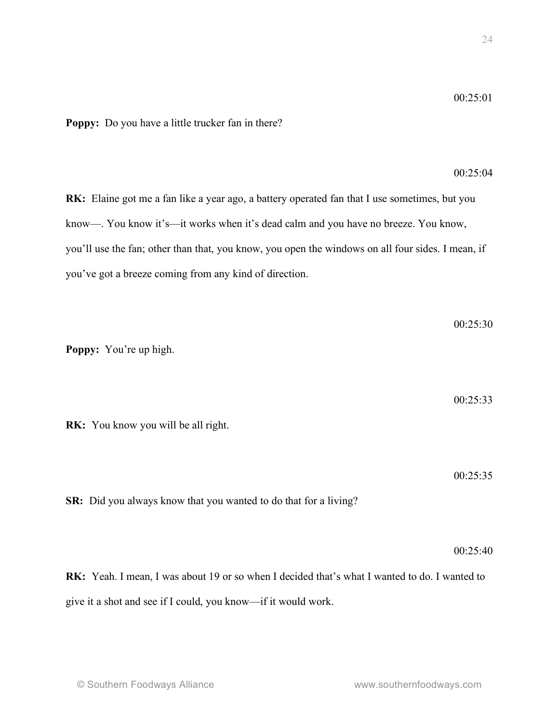**Poppy:** Do you have a little trucker fan in there?

00:25:04

**RK:** Elaine got me a fan like a year ago, a battery operated fan that I use sometimes, but you know—. You know it's—it works when it's dead calm and you have no breeze. You know, you'll use the fan; other than that, you know, you open the windows on all four sides. I mean, if you've got a breeze coming from any kind of direction.

**Poppy:** You're up high.

00:25:33

00:25:30

**RK:** You know you will be all right.

00:25:35

**SR:** Did you always know that you wanted to do that for a living?

00:25:40

**RK:** Yeah. I mean, I was about 19 or so when I decided that's what I wanted to do. I wanted to give it a shot and see if I could, you know—if it would work.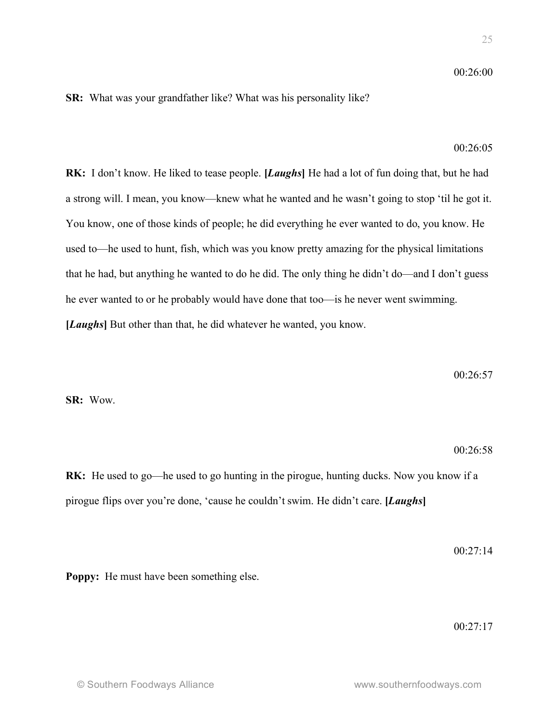## $00.26:00$

## **SR:** What was your grandfather like? What was his personality like?

### $00.26:05$

**RK:** I don't know. He liked to tease people. **[***Laughs***]** He had a lot of fun doing that, but he had a strong will. I mean, you know—knew what he wanted and he wasn't going to stop 'til he got it. You know, one of those kinds of people; he did everything he ever wanted to do, you know. He used to—he used to hunt, fish, which was you know pretty amazing for the physical limitations that he had, but anything he wanted to do he did. The only thing he didn't do—and I don't guess he ever wanted to or he probably would have done that too—is he never went swimming. **[***Laughs***]** But other than that, he did whatever he wanted, you know.

00:26:57

**SR:** Wow.

#### 00:26:58

**RK:** He used to go—he used to go hunting in the pirogue, hunting ducks. Now you know if a pirogue flips over you're done, 'cause he couldn't swim. He didn't care. **[***Laughs***]**

00:27:14

**Poppy:** He must have been something else.

00:27:17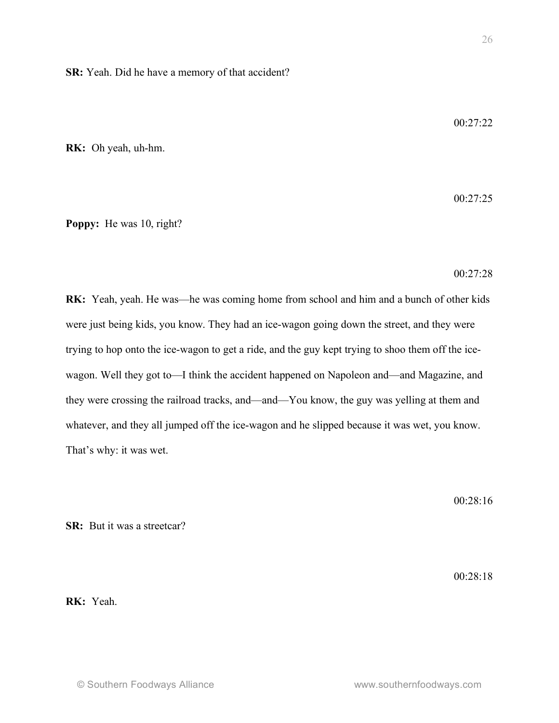**SR:** Yeah. Did he have a memory of that accident?

00:27:22

**RK:** Oh yeah, uh-hm.

00:27:25

**Poppy:** He was 10, right?

00:27:28

**RK:** Yeah, yeah. He was—he was coming home from school and him and a bunch of other kids were just being kids, you know. They had an ice-wagon going down the street, and they were trying to hop onto the ice-wagon to get a ride, and the guy kept trying to shoo them off the icewagon. Well they got to—I think the accident happened on Napoleon and—and Magazine, and they were crossing the railroad tracks, and—and—You know, the guy was yelling at them and whatever, and they all jumped off the ice-wagon and he slipped because it was wet, you know. That's why: it was wet.

00:28:16

**SR:** But it was a streetcar?

 $00.28.18$ 

**RK:** Yeah.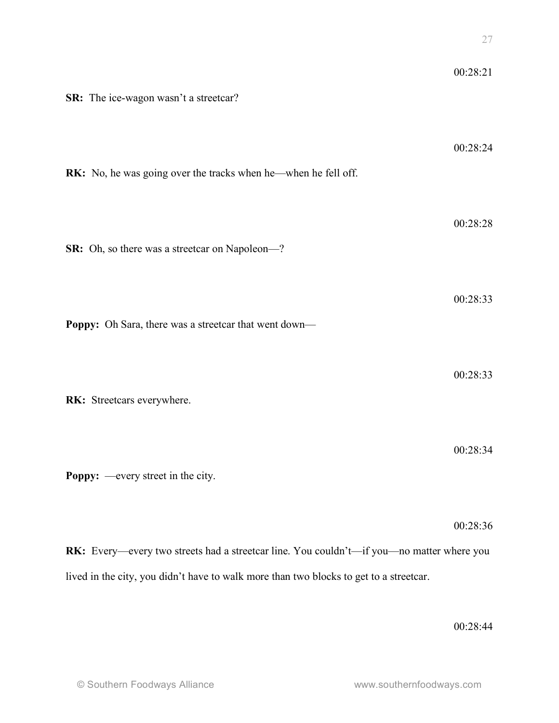| SR: The ice-wagon wasn't a streetcar?                                                                                                                                               | 00:28:21 |
|-------------------------------------------------------------------------------------------------------------------------------------------------------------------------------------|----------|
| <b>RK:</b> No, he was going over the tracks when he—when he fell off.                                                                                                               | 00:28:24 |
| SR: Oh, so there was a streetcar on Napoleon-?                                                                                                                                      | 00:28:28 |
| Poppy: Oh Sara, there was a streetcar that went down—                                                                                                                               | 00:28:33 |
| RK: Streetcars everywhere.                                                                                                                                                          | 00:28:33 |
| <b>Poppy:</b> —every street in the city.                                                                                                                                            | 00:28:34 |
|                                                                                                                                                                                     | 00:28:36 |
| RK: Every—every two streets had a streetcar line. You couldn't—if you—no matter where you<br>lived in the city, you didn't have to walk more than two blocks to get to a streetcar. |          |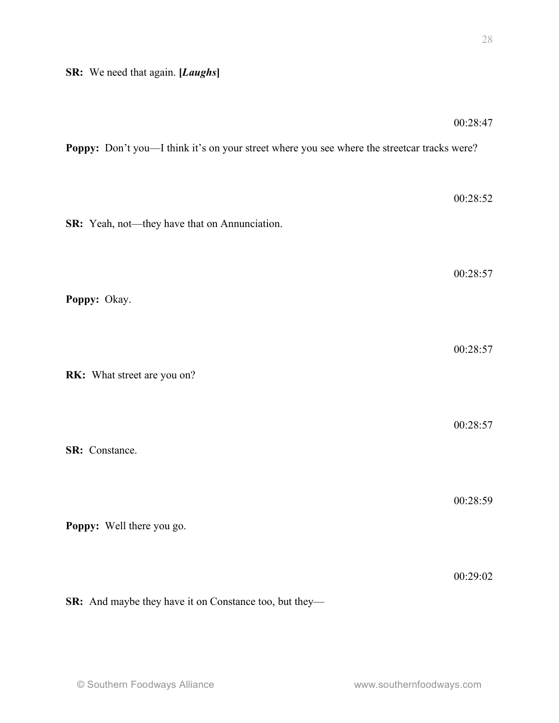|                                                                                             | 00:28:47 |
|---------------------------------------------------------------------------------------------|----------|
| Poppy: Don't you—I think it's on your street where you see where the streetcar tracks were? |          |
|                                                                                             | 00:28:52 |
| SR: Yeah, not—they have that on Annunciation.                                               |          |
|                                                                                             | 00:28:57 |
| Poppy: Okay.                                                                                |          |
|                                                                                             |          |
| RK: What street are you on?                                                                 | 00:28:57 |
|                                                                                             |          |
| SR: Constance.                                                                              | 00:28:57 |
|                                                                                             |          |
| Poppy: Well there you go.                                                                   | 00:28:59 |
|                                                                                             |          |
|                                                                                             | 00:29:02 |
| SR: And maybe they have it on Constance too, but they-                                      |          |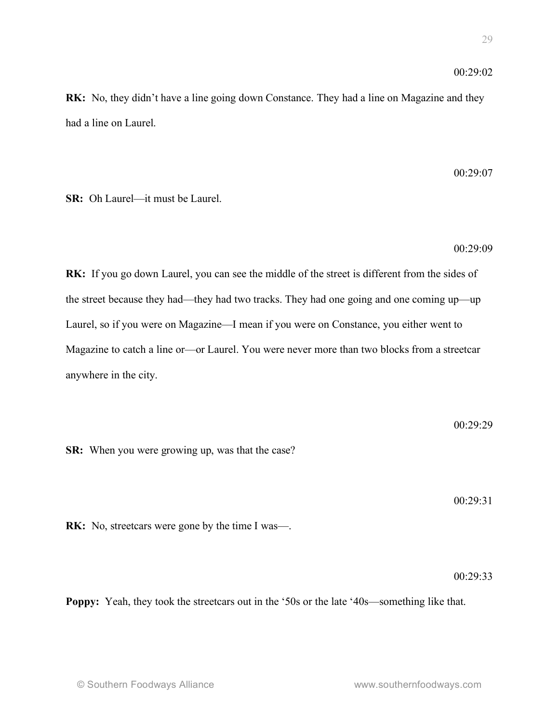## $00.29.02$

**RK:** No, they didn't have a line going down Constance. They had a line on Magazine and they had a line on Laurel.

00:29:07

**SR:** Oh Laurel—it must be Laurel.

00:29:09

**RK:** If you go down Laurel, you can see the middle of the street is different from the sides of the street because they had—they had two tracks. They had one going and one coming up—up Laurel, so if you were on Magazine—I mean if you were on Constance, you either went to Magazine to catch a line or—or Laurel. You were never more than two blocks from a streetcar anywhere in the city.

00:29:29 **SR:** When you were growing up, was that the case?

00:29:31

**RK:** No, streetcars were gone by the time I was—.

 $00.29.33$ 

**Poppy:** Yeah, they took the streetcars out in the '50s or the late '40s—something like that.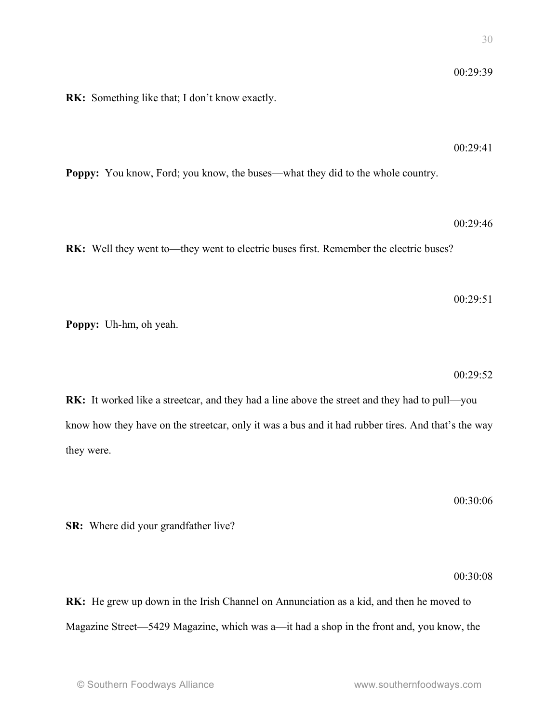**RK:** Something like that; I don't know exactly.

**Poppy:** You know, Ford; you know, the buses—what they did to the whole country.

**RK:** Well they went to—they went to electric buses first. Remember the electric buses?

**RK:** It worked like a streetcar, and they had a line above the street and they had to pull—you know how they have on the streetcar, only it was a bus and it had rubber tires. And that's the way they were.

**SR:** Where did your grandfather live?

00:30:08

**RK:** He grew up down in the Irish Channel on Annunciation as a kid, and then he moved to Magazine Street—5429 Magazine, which was a—it had a shop in the front and, you know, the

**Poppy:** Uh-hm, oh yeah.

 $00.29.41$ 

00:29:39

00:29:51

00:29:52

00:29:46

00:30:06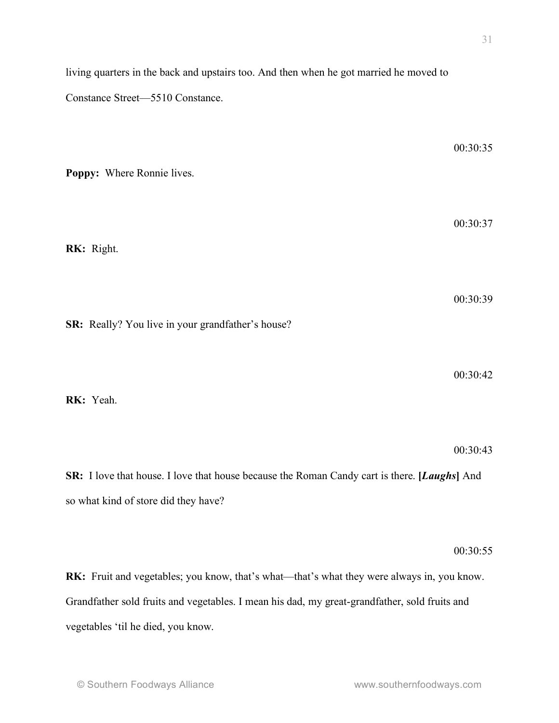00:30:35

00:30:37

© Southern Foodways Alliance www.southernfoodways.com 00:30:39 **SR:** Really? You live in your grandfather's house? **RK:** Yeah. **SR:** I love that house. I love that house because the Roman Candy cart is there. **[***Laughs***]** And so what kind of store did they have? **RK:** Fruit and vegetables; you know, that's what—that's what they were always in, you know. Grandfather sold fruits and vegetables. I mean his dad, my great-grandfather, sold fruits and vegetables 'til he died, you know.

living quarters in the back and upstairs too. And then when he got married he moved to

**Poppy:** Where Ronnie lives.

Constance Street—5510 Constance.

**RK:** Right.

00:30:42

00:30:43

00:30:55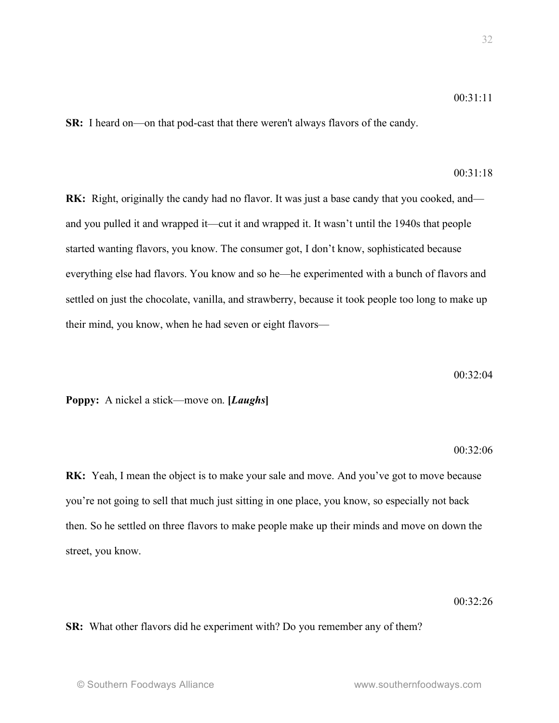**SR:** I heard on—on that pod-cast that there weren't always flavors of the candy.

# 00:31:18

**RK:** Right, originally the candy had no flavor. It was just a base candy that you cooked, and and you pulled it and wrapped it—cut it and wrapped it. It wasn't until the 1940s that people started wanting flavors, you know. The consumer got, I don't know, sophisticated because everything else had flavors. You know and so he—he experimented with a bunch of flavors and settled on just the chocolate, vanilla, and strawberry, because it took people too long to make up their mind, you know, when he had seven or eight flavors—

#### 00:32:04

**Poppy:** A nickel a stick—move on. **[***Laughs***]**

#### 00:32:06

**RK:** Yeah, I mean the object is to make your sale and move. And you've got to move because you're not going to sell that much just sitting in one place, you know, so especially not back then. So he settled on three flavors to make people make up their minds and move on down the street, you know.

### 00:32:26

**SR:** What other flavors did he experiment with? Do you remember any of them?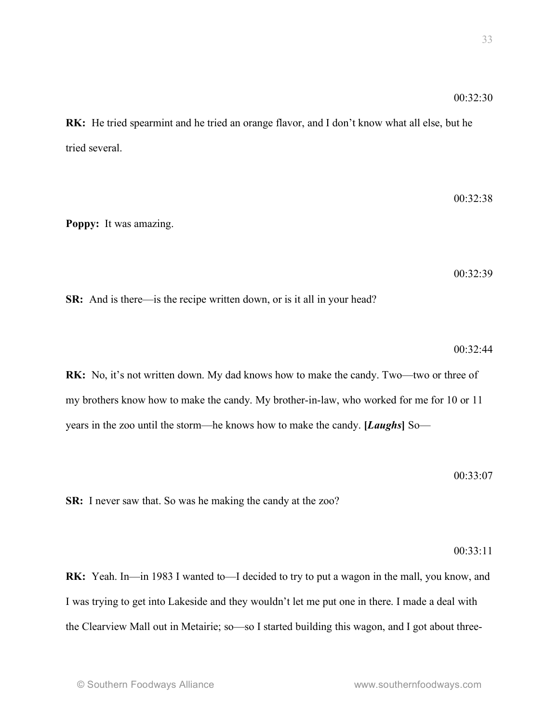**RK:** He tried spearmint and he tried an orange flavor, and I don't know what all else, but he tried several.

**Poppy:** It was amazing.

00:32:39

 $00.32.38$ 

**SR:** And is there—is the recipe written down, or is it all in your head?

 $00.32.44$ 

**RK:** No, it's not written down. My dad knows how to make the candy. Two—two or three of my brothers know how to make the candy. My brother-in-law, who worked for me for 10 or 11 years in the zoo until the storm—he knows how to make the candy. **[***Laughs***]** So—

00:33:07

**SR:** I never saw that. So was he making the candy at the zoo?

00:33:11

**RK:** Yeah. In—in 1983 I wanted to—I decided to try to put a wagon in the mall, you know, and I was trying to get into Lakeside and they wouldn't let me put one in there. I made a deal with the Clearview Mall out in Metairie; so—so I started building this wagon, and I got about three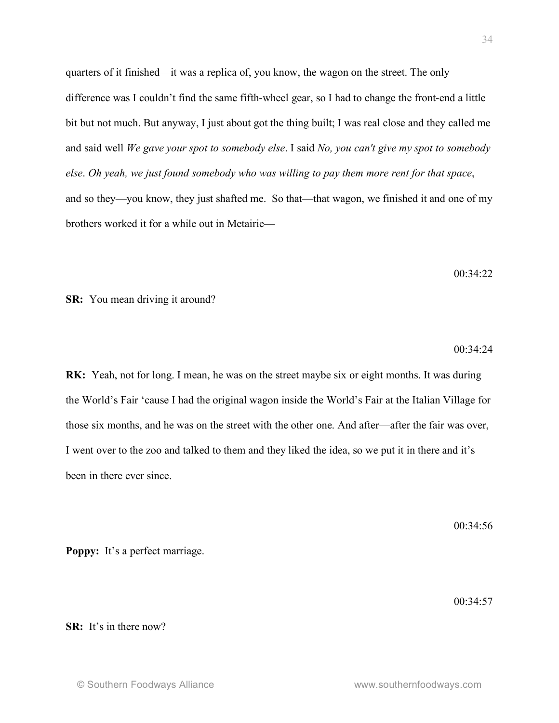quarters of it finished—it was a replica of, you know, the wagon on the street. The only difference was I couldn't find the same fifth-wheel gear, so I had to change the front-end a little bit but not much. But anyway, I just about got the thing built; I was real close and they called me and said well *We gave your spot to somebody else*. I said *No, you can't give my spot to somebody else*. *Oh yeah, we just found somebody who was willing to pay them more rent for that space*, and so they—you know, they just shafted me. So that—that wagon, we finished it and one of my brothers worked it for a while out in Metairie—

 $00.34.22$ 

**SR:** You mean driving it around?

 $00.34.24$ 

**RK:** Yeah, not for long. I mean, he was on the street maybe six or eight months. It was during the World's Fair 'cause I had the original wagon inside the World's Fair at the Italian Village for those six months, and he was on the street with the other one. And after—after the fair was over, I went over to the zoo and talked to them and they liked the idea, so we put it in there and it's been in there ever since.

 $00.34.56$ 

00:34:57

**Poppy:** It's a perfect marriage.

**SR:** It's in there now?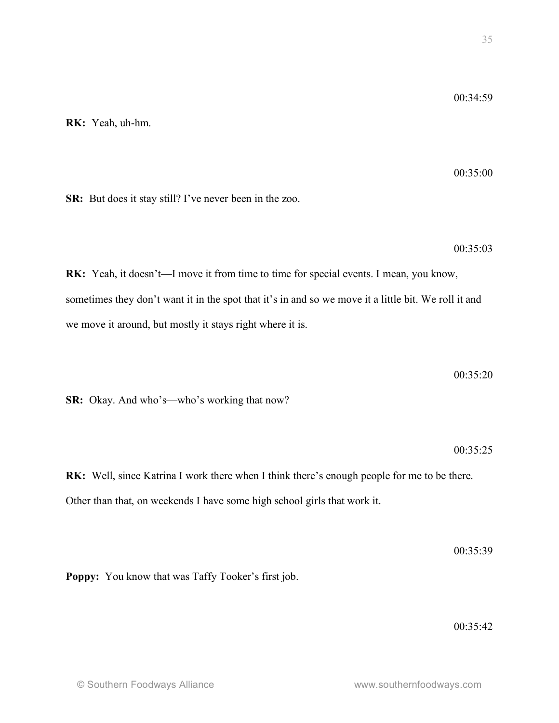**RK:** Yeah, uh-hm.

00:35:00

00:35:03

**SR:** But does it stay still? I've never been in the zoo.

**RK:** Yeah, it doesn't—I move it from time to time for special events. I mean, you know, sometimes they don't want it in the spot that it's in and so we move it a little bit. We roll it and we move it around, but mostly it stays right where it is.

00:35:20

**SR:** Okay. And who's—who's working that now?

00:35:25

**RK:** Well, since Katrina I work there when I think there's enough people for me to be there. Other than that, on weekends I have some high school girls that work it.

**Poppy:** You know that was Taffy Tooker's first job.

00:35:42

00:35:39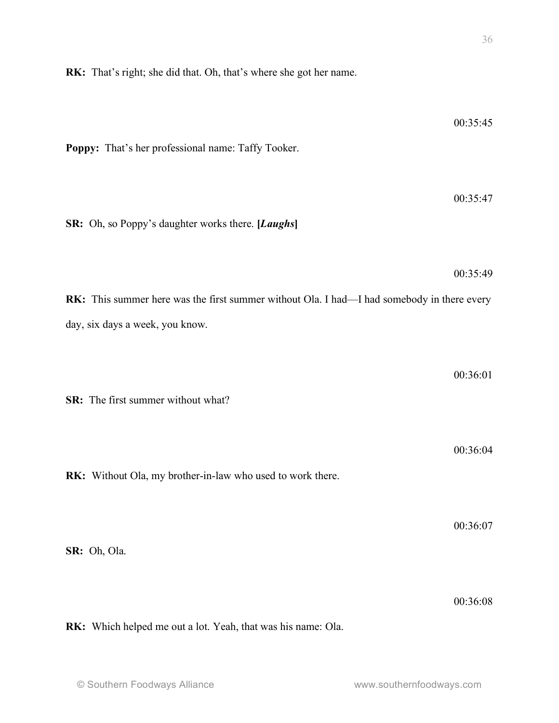**RK:** That's right; she did that. Oh, that's where she got her name.

| Poppy: That's her professional name: Taffy Tooker.                                                                            | 00:35:45 |
|-------------------------------------------------------------------------------------------------------------------------------|----------|
| SR: Oh, so Poppy's daughter works there. [Laughs]                                                                             | 00:35:47 |
| RK: This summer here was the first summer without Ola. I had—I had somebody in there every<br>day, six days a week, you know. | 00:35:49 |
| SR: The first summer without what?                                                                                            | 00:36:01 |
| RK: Without Ola, my brother-in-law who used to work there.                                                                    | 00:36:04 |
| SR: Oh, Ola.                                                                                                                  | 00:36:07 |
|                                                                                                                               | 00:36:08 |

**RK:** Which helped me out a lot. Yeah, that was his name: Ola.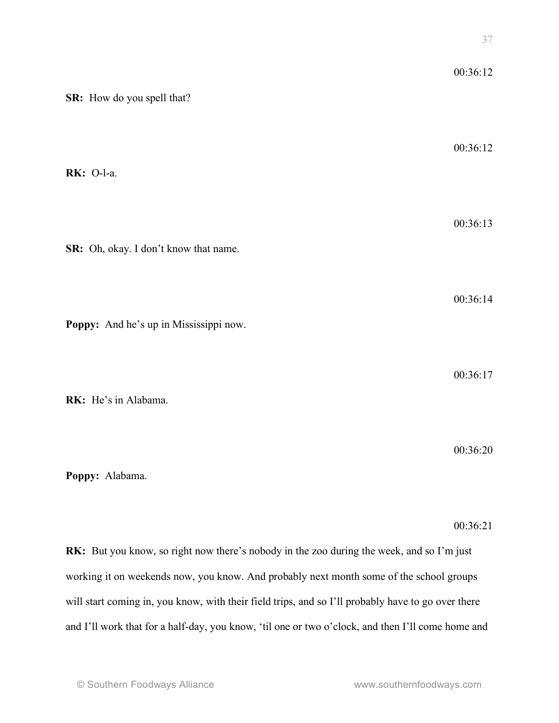|                                                                                           | $\cup$ 1 |
|-------------------------------------------------------------------------------------------|----------|
|                                                                                           | 00:36:12 |
| SR: How do you spell that?                                                                |          |
|                                                                                           | 00:36:12 |
| <b>RK</b> : O-l-a.                                                                        |          |
|                                                                                           | 00:36:13 |
| SR: Oh, okay. I don't know that name.                                                     |          |
|                                                                                           | 00:36:14 |
| Poppy: And he's up in Mississippi now.                                                    |          |
|                                                                                           | 00:36:17 |
| RK: He's in Alabama.                                                                      |          |
|                                                                                           | 00:36:20 |
| Poppy: Alabama.                                                                           |          |
|                                                                                           | 00:36:21 |
| RK: But you know, so right now there's nobody in the zoo during the week, and so I'm just |          |
| working it on weekends now, you know. And probably next month some of the school groups   |          |

and I'll work that for a half-day, you know, 'til one or two o'clock, and then I'll come home and

will start coming in, you know, with their field trips, and so I'll probably have to go over there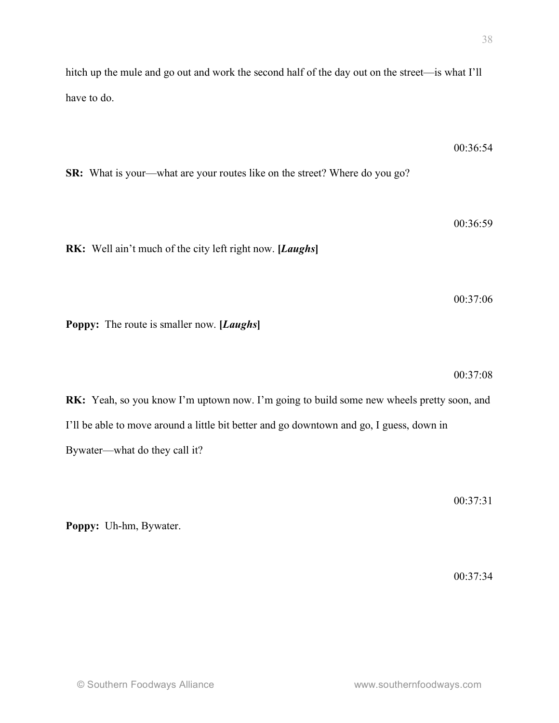$00.36.54$ 

00:36:59

00:37:06

hitch up the mule and go out and work the second half of the day out on the street—is what I'll have to do.

**SR:** What is your—what are your routes like on the street? Where do you go?

**RK:** Well ain't much of the city left right now. **[***Laughs***]**

**Poppy:** The route is smaller now. **[***Laughs***]**

00:37:08

**RK:** Yeah, so you know I'm uptown now. I'm going to build some new wheels pretty soon, and I'll be able to move around a little bit better and go downtown and go, I guess, down in Bywater—what do they call it?

00:37:31

**Poppy:** Uh-hm, Bywater.

00:37:34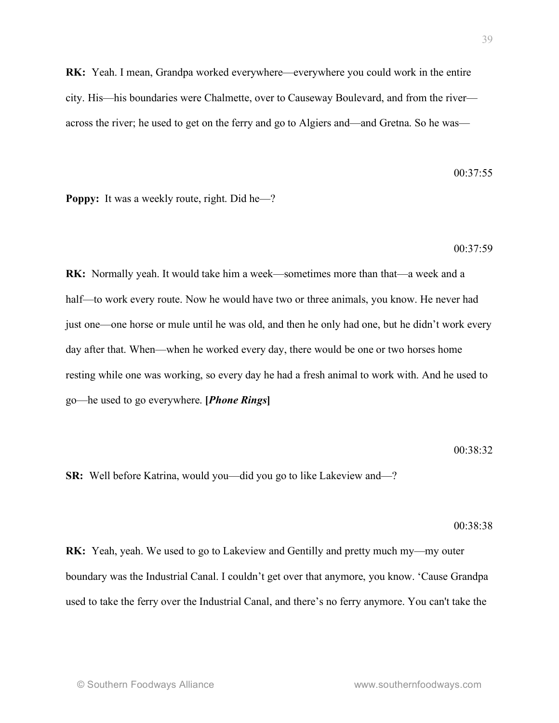**RK:** Yeah. I mean, Grandpa worked everywhere—everywhere you could work in the entire city. His—his boundaries were Chalmette, over to Causeway Boulevard, and from the river across the river; he used to get on the ferry and go to Algiers and—and Gretna. So he was—

 $00.37.55$ 

**Poppy:** It was a weekly route, right. Did he—?

#### 00:37:59

**RK:** Normally yeah. It would take him a week—sometimes more than that—a week and a half—to work every route. Now he would have two or three animals, you know. He never had just one—one horse or mule until he was old, and then he only had one, but he didn't work every day after that. When—when he worked every day, there would be one or two horses home resting while one was working, so every day he had a fresh animal to work with. And he used to go—he used to go everywhere. **[***Phone Rings***]**

#### 00:38:32

**SR:** Well before Katrina, would you—did you go to like Lakeview and—?

#### 00:38:38

**RK:** Yeah, yeah. We used to go to Lakeview and Gentilly and pretty much my—my outer boundary was the Industrial Canal. I couldn't get over that anymore, you know. 'Cause Grandpa used to take the ferry over the Industrial Canal, and there's no ferry anymore. You can't take the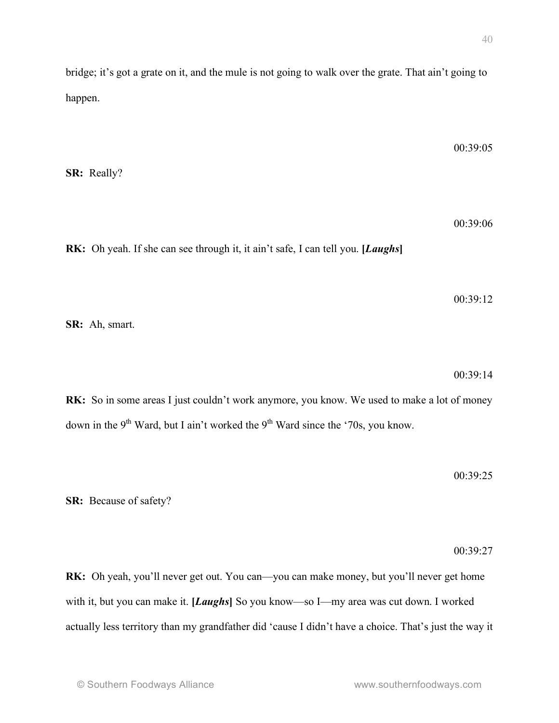bridge; it's got a grate on it, and the mule is not going to walk over the grate. That ain't going to happen.

**SR:** Really?

00:39:06

00:39:05

**RK:** Oh yeah. If she can see through it, it ain't safe, I can tell you. **[***Laughs***]**

00:39:12

**SR:** Ah, smart.

00:39:14

RK: So in some areas I just couldn't work anymore, you know. We used to make a lot of money down in the 9<sup>th</sup> Ward, but I ain't worked the 9<sup>th</sup> Ward since the '70s, you know.

00:39:25

**SR:** Because of safety?

00:39:27

**RK:** Oh yeah, you'll never get out. You can—you can make money, but you'll never get home with it, but you can make it. **[***Laughs***]** So you know—so I—my area was cut down. I worked actually less territory than my grandfather did 'cause I didn't have a choice. That's just the way it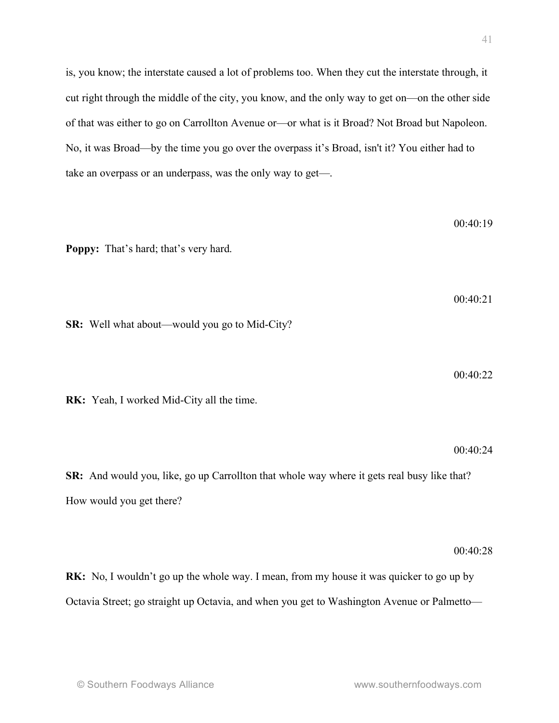is, you know; the interstate caused a lot of problems too. When they cut the interstate through, it cut right through the middle of the city, you know, and the only way to get on—on the other side of that was either to go on Carrollton Avenue or—or what is it Broad? Not Broad but Napoleon. No, it was Broad—by the time you go over the overpass it's Broad, isn't it? You either had to take an overpass or an underpass, was the only way to get—.

**Poppy:** That's hard; that's very hard.  $00.40.21$ **SR:** Well what about—would you go to Mid-City? **RK:** Yeah, I worked Mid-City all the time. 00:40:24 **SR:** And would you, like, go up Carrollton that whole way where it gets real busy like that? How would you get there?

### 00:40:28

**RK:** No, I wouldn't go up the whole way. I mean, from my house it was quicker to go up by Octavia Street; go straight up Octavia, and when you get to Washington Avenue or Palmetto—

00:40:19

00:40:22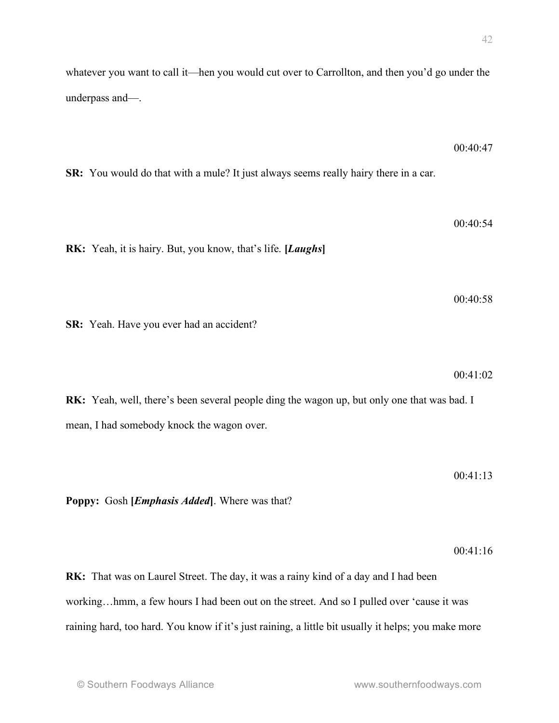whatever you want to call it—hen you would cut over to Carrollton, and then you'd go under the underpass and—.

 $00.40.47$ 

00:40:54

**SR:** You would do that with a mule? It just always seems really hairy there in a car.

**RK:** Yeah, it is hairy. But, you know, that's life. **[***Laughs***]**

**SR:** Yeah. Have you ever had an accident?

00:41:02

00:40:58

**RK:** Yeah, well, there's been several people ding the wagon up, but only one that was bad. I mean, I had somebody knock the wagon over.

00:41:13

**Poppy:** Gosh **[***Emphasis Added***]**. Where was that?

00:41:16

**RK:** That was on Laurel Street. The day, it was a rainy kind of a day and I had been working…hmm, a few hours I had been out on the street. And so I pulled over 'cause it was raining hard, too hard. You know if it's just raining, a little bit usually it helps; you make more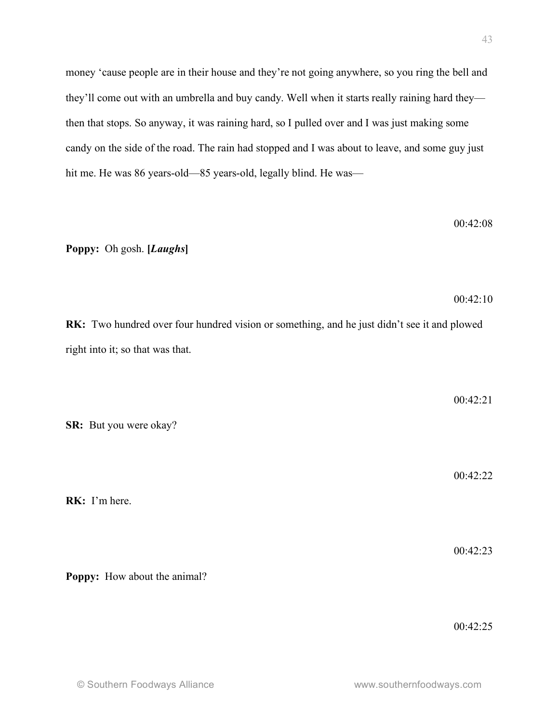money 'cause people are in their house and they're not going anywhere, so you ring the bell and they'll come out with an umbrella and buy candy. Well when it starts really raining hard they then that stops. So anyway, it was raining hard, so I pulled over and I was just making some candy on the side of the road. The rain had stopped and I was about to leave, and some guy just hit me. He was 86 years-old—85 years-old, legally blind. He was—

**Poppy:** Oh gosh. **[***Laughs***]**

**RK:** Two hundred over four hundred vision or something, and he just didn't see it and plowed right into it; so that was that.

**SR:** But you were okay?

**Poppy:** How about the animal?

**RK:** I'm here.

00:42:23

00:42:25

 $00.42 \cdot 10$ 

00:42:08

00:42:21

00:42:22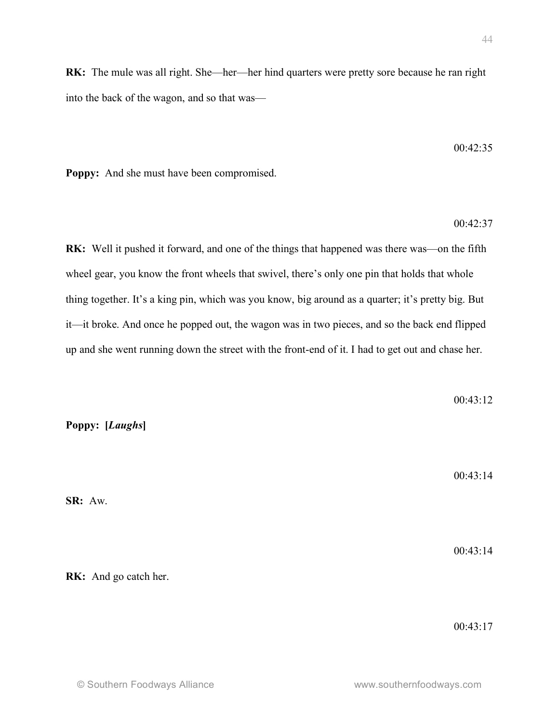**Poppy: [***Laughs***]**

**RK:** And go catch her.

**SR:** Aw.

**RK:** The mule was all right. She—her—her hind quarters were pretty sore because he ran right into the back of the wagon, and so that was—

 $00.42.35$ 

**Poppy:** And she must have been compromised.

00:42:37

**RK:** Well it pushed it forward, and one of the things that happened was there was—on the fifth wheel gear, you know the front wheels that swivel, there's only one pin that holds that whole thing together. It's a king pin, which was you know, big around as a quarter; it's pretty big. But it—it broke. And once he popped out, the wagon was in two pieces, and so the back end flipped up and she went running down the street with the front-end of it. I had to get out and chase her.

 $00.43 \cdot 12$ 

 $00.43 \cdot 14$ 

00:43:14

00:43:17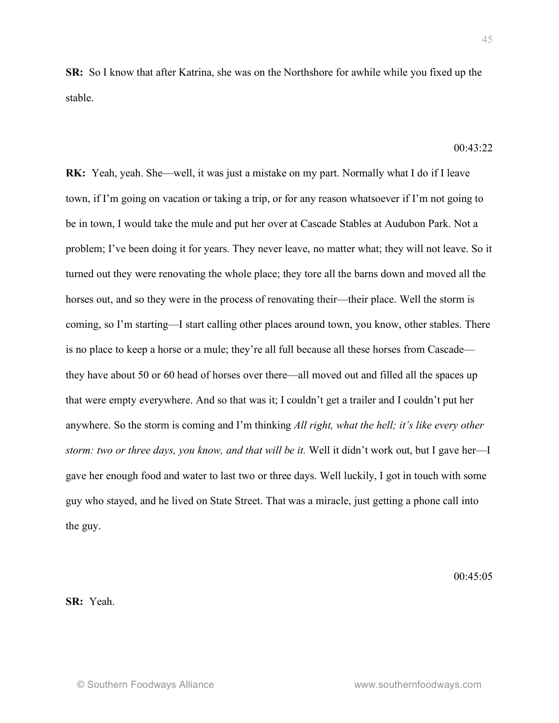**SR:** So I know that after Katrina, she was on the Northshore for awhile while you fixed up the stable.

 $00.43.22$ 

**RK:** Yeah, yeah. She—well, it was just a mistake on my part. Normally what I do if I leave town, if I'm going on vacation or taking a trip, or for any reason whatsoever if I'm not going to be in town, I would take the mule and put her over at Cascade Stables at Audubon Park. Not a problem; I've been doing it for years. They never leave, no matter what; they will not leave. So it turned out they were renovating the whole place; they tore all the barns down and moved all the horses out, and so they were in the process of renovating their—their place. Well the storm is coming, so I'm starting—I start calling other places around town, you know, other stables. There is no place to keep a horse or a mule; they're all full because all these horses from Cascade they have about 50 or 60 head of horses over there—all moved out and filled all the spaces up that were empty everywhere. And so that was it; I couldn't get a trailer and I couldn't put her anywhere. So the storm is coming and I'm thinking *All right, what the hell; it's like every other storm: two or three days, you know, and that will be it.* Well it didn't work out, but I gave her—I gave her enough food and water to last two or three days. Well luckily, I got in touch with some guy who stayed, and he lived on State Street. That was a miracle, just getting a phone call into the guy.

 $00.45.05$ 

**SR:** Yeah.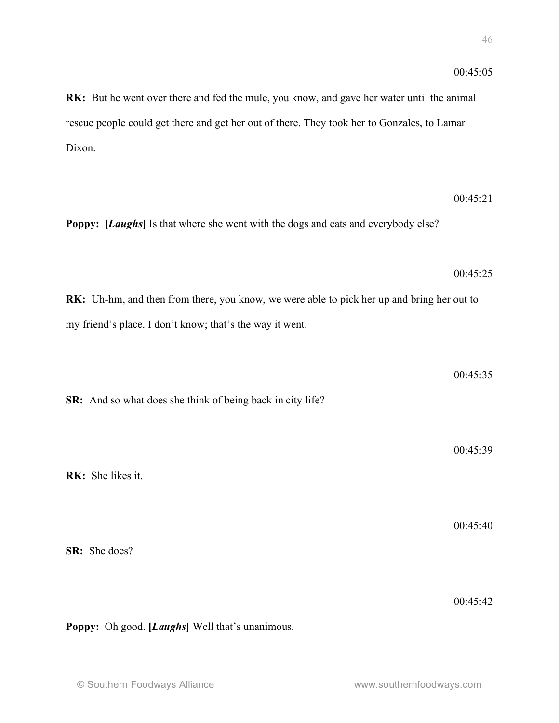**RK:** But he went over there and fed the mule, you know, and gave her water until the animal rescue people could get there and get her out of there. They took her to Gonzales, to Lamar Dixon.

 $00.45.21$ **Poppy: [***Laughs***]** Is that where she went with the dogs and cats and everybody else? 00:45:25 **RK:** Uh-hm, and then from there, you know, we were able to pick her up and bring her out to my friend's place. I don't know; that's the way it went. 00:45:35 **SR:** And so what does she think of being back in city life? 00:45:39 **RK:** She likes it. 00:45:40 **SR:** She does? 00:45:42

**Poppy:** Oh good. **[***Laughs***]** Well that's unanimous.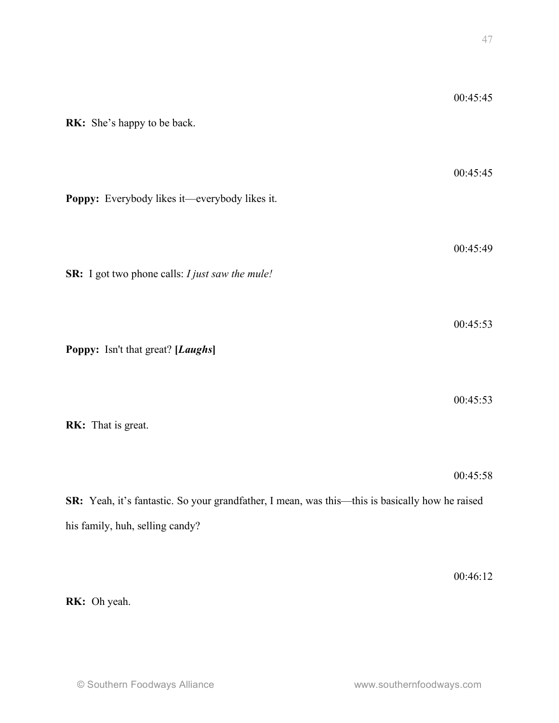| RK: She's happy to be back.                                                                     | 00:45:45 |
|-------------------------------------------------------------------------------------------------|----------|
| Poppy: Everybody likes it—everybody likes it.                                                   | 00:45:45 |
| SR: I got two phone calls: I just saw the mule!                                                 | 00:45:49 |
| Poppy: Isn't that great? [Laughs]                                                               | 00:45:53 |
| RK: That is great.                                                                              | 00:45:53 |
|                                                                                                 | 00:45:58 |
| SR: Yeah, it's fantastic. So your grandfather, I mean, was this—this is basically how he raised |          |
| his family, huh, selling candy?                                                                 |          |

00:46:12

**RK:** Oh yeah.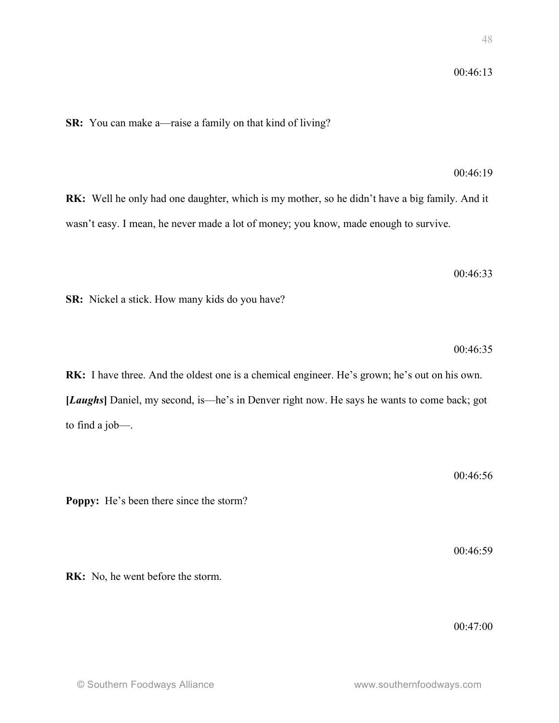**SR:** You can make a—raise a family on that kind of living?

00:46:19

**RK:** Well he only had one daughter, which is my mother, so he didn't have a big family. And it wasn't easy. I mean, he never made a lot of money; you know, made enough to survive.

00:46:33

**SR:** Nickel a stick. How many kids do you have?

 $00.46.35$ 

**RK:** I have three. And the oldest one is a chemical engineer. He's grown; he's out on his own. **[***Laughs***]** Daniel, my second, is—he's in Denver right now. He says he wants to come back; got to find a job—.

00:46:56

**Poppy:** He's been there since the storm?

00:46:59

**RK:** No, he went before the storm.

00:47:00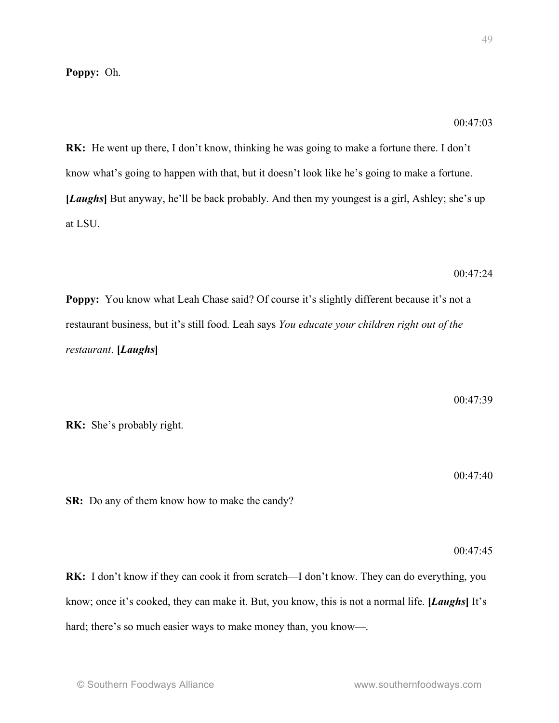## **Poppy:** Oh.

**RK:** He went up there, I don't know, thinking he was going to make a fortune there. I don't know what's going to happen with that, but it doesn't look like he's going to make a fortune. **[***Laughs***]** But anyway, he'll be back probably. And then my youngest is a girl, Ashley; she's up at LSU.

00:47:24

00:47:03

**Poppy:** You know what Leah Chase said? Of course it's slightly different because it's not a restaurant business, but it's still food. Leah says *You educate your children right out of the restaurant*. **[***Laughs***]**

**RK:** She's probably right.

00:47:40

**SR:** Do any of them know how to make the candy?

00:47:45

**RK:** I don't know if they can cook it from scratch—I don't know. They can do everything, you know; once it's cooked, they can make it. But, you know, this is not a normal life. **[***Laughs***]** It's hard; there's so much easier ways to make money than, you know—.

00:47:39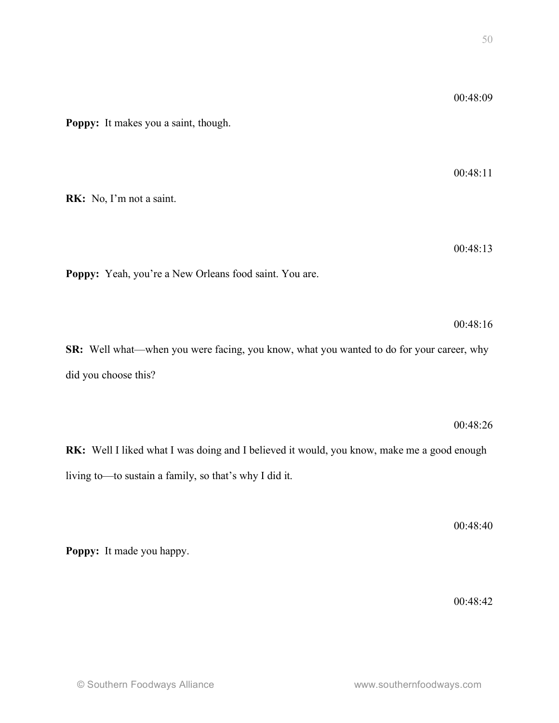00:48:09

00:48:11

| oppy: Yeah, you're a New Orleans food saint. You are.                                     |                          |
|-------------------------------------------------------------------------------------------|--------------------------|
|                                                                                           | 00:48:                   |
| R: Well what—when you were facing, you know, what you wanted to do for your career, wh    |                          |
| d you choose this?                                                                        |                          |
|                                                                                           |                          |
|                                                                                           | 00:48:2                  |
| K: Well I liked what I was doing and I believed it would, you know, make me a good enougl |                          |
| ving to-to sustain a family, so that's why I did it.                                      |                          |
|                                                                                           |                          |
|                                                                                           | 00:48:4                  |
| oppy: It made you happy.                                                                  |                          |
|                                                                                           |                          |
|                                                                                           | 00:48:4                  |
|                                                                                           |                          |
|                                                                                           |                          |
| © Southern Foodways Alliance                                                              | www.southernfoodways.com |
|                                                                                           |                          |
|                                                                                           |                          |

**Poppy:** It makes you a saint, though.

**RK:** No, I'm not a saint.

00:48:13

Poppy: Yeah, you're a New Orl

00:48:16

00:48:26

**Poppy:** It made you happy.

00:48:42

00:48:40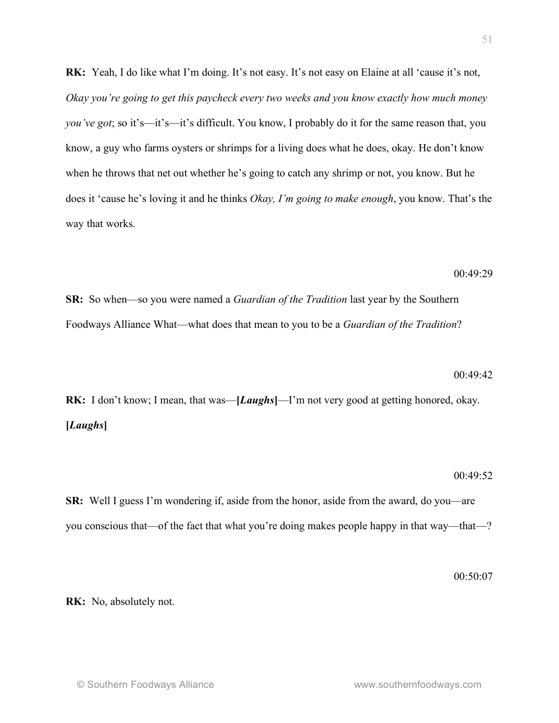**RK:** Yeah, I do like what I'm doing. It's not easy. It's not easy on Elaine at all 'cause it's not, *Okay you're going to get this paycheck every two weeks and you know exactly how much money you've got*; so it's—it's—it's difficult. You know, I probably do it for the same reason that, you know, a guy who farms oysters or shrimps for a living does what he does, okay. He don't know when he throws that net out whether he's going to catch any shrimp or not, you know. But he does it 'cause he's loving it and he thinks *Okay, I'm going to make enough*, you know. That's the way that works.

00:49:29

**SR:** So when—so you were named a *Guardian of the Tradition* last year by the Southern Foodways Alliance What—what does that mean to you to be a *Guardian of the Tradition*?

#### 00:49:42

**RK:** I don't know; I mean, that was—**[***Laughs***]**—I'm not very good at getting honored, okay. **[***Laughs***]**

#### 00:49:52

**SR:** Well I guess I'm wondering if, aside from the honor, aside from the award, do you—are you conscious that—of the fact that what you're doing makes people happy in that way—that—?

00:50:07

**RK:** No, absolutely not.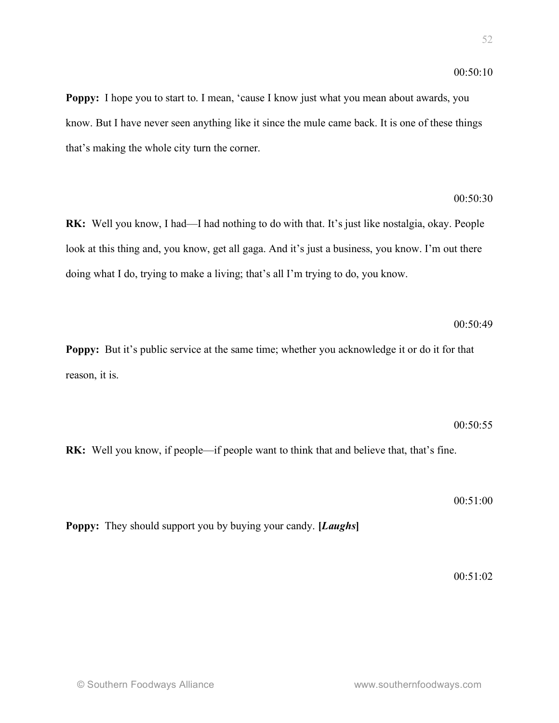$00:50:10$ 

**Poppy:** I hope you to start to. I mean, 'cause I know just what you mean about awards, you know. But I have never seen anything like it since the mule came back. It is one of these things that's making the whole city turn the corner.

**RK:** Well you know, I had—I had nothing to do with that. It's just like nostalgia, okay. People look at this thing and, you know, get all gaga. And it's just a business, you know. I'm out there doing what I do, trying to make a living; that's all I'm trying to do, you know.

**Poppy:** But it's public service at the same time; whether you acknowledge it or do it for that reason, it is.

**RK:** Well you know, if people—if people want to think that and believe that, that's fine.

00:51:00

00:50:55

**Poppy:** They should support you by buying your candy. **[***Laughs***]**

00:51:02

00:50:49

00:50:30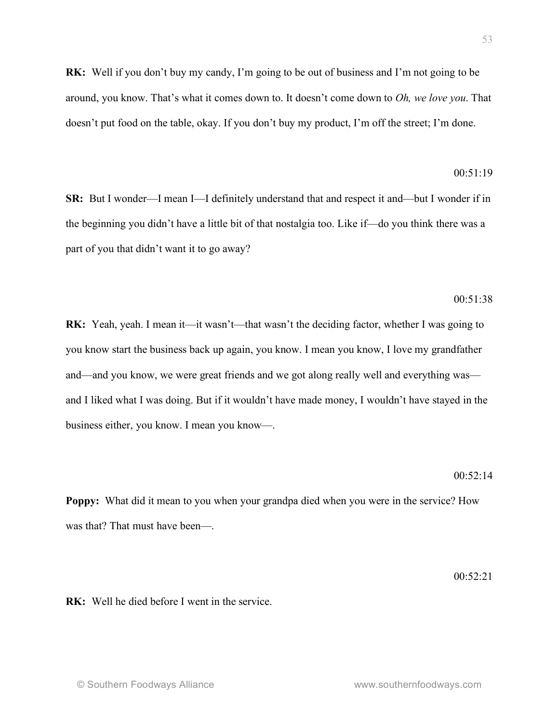**RK:** Well he died before I went in the service.

**RK:** Well if you don't buy my candy, I'm going to be out of business and I'm not going to be around, you know. That's what it comes down to. It doesn't come down to *Oh, we love you*. That doesn't put food on the table, okay. If you don't buy my product, I'm off the street; I'm done.

## $00:51:19$

**SR:** But I wonder—I mean I—I definitely understand that and respect it and—but I wonder if in the beginning you didn't have a little bit of that nostalgia too. Like if—do you think there was a part of you that didn't want it to go away?

## $00:51:38$

**RK:** Yeah, yeah. I mean it—it wasn't—that wasn't the deciding factor, whether I was going to you know start the business back up again, you know. I mean you know, I love my grandfather and—and you know, we were great friends and we got along really well and everything was and I liked what I was doing. But if it wouldn't have made money, I wouldn't have stayed in the business either, you know. I mean you know—.

### $00.52 \cdot 14$

**Poppy:** What did it mean to you when your grandpa died when you were in the service? How was that? That must have been—.

 $00.52.21$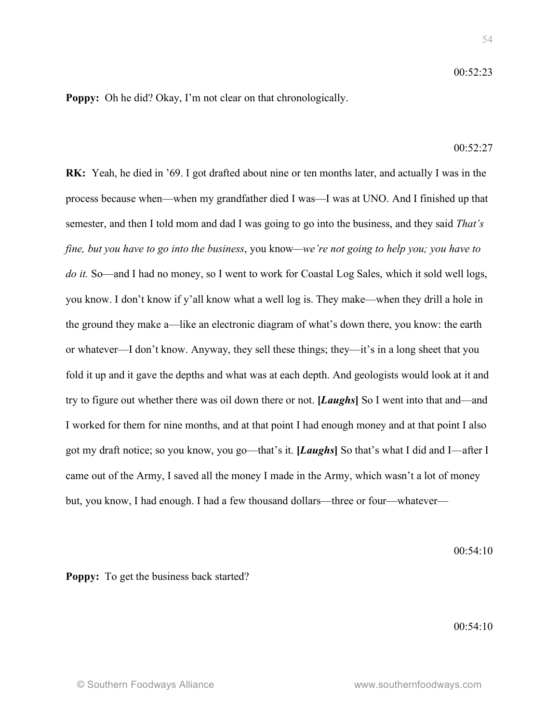**Poppy:** Oh he did? Okay, I'm not clear on that chronologically.

## $00.52.27$

**RK:** Yeah, he died in '69. I got drafted about nine or ten months later, and actually I was in the process because when—when my grandfather died I was—I was at UNO. And I finished up that semester, and then I told mom and dad I was going to go into the business, and they said *That's fine, but you have to go into the business*, you know*—we're not going to help you; you have to do it.* So—and I had no money, so I went to work for Coastal Log Sales, which it sold well logs, you know. I don't know if y'all know what a well log is. They make—when they drill a hole in the ground they make a—like an electronic diagram of what's down there, you know: the earth or whatever—I don't know. Anyway, they sell these things; they—it's in a long sheet that you fold it up and it gave the depths and what was at each depth. And geologists would look at it and try to figure out whether there was oil down there or not. **[***Laughs***]** So I went into that and—and I worked for them for nine months, and at that point I had enough money and at that point I also got my draft notice; so you know, you go—that's it. **[***Laughs***]** So that's what I did and I—after I came out of the Army, I saved all the money I made in the Army, which wasn't a lot of money but, you know, I had enough. I had a few thousand dollars—three or four—whatever—

00:54:10

**Poppy:** To get the business back started?

00:54:10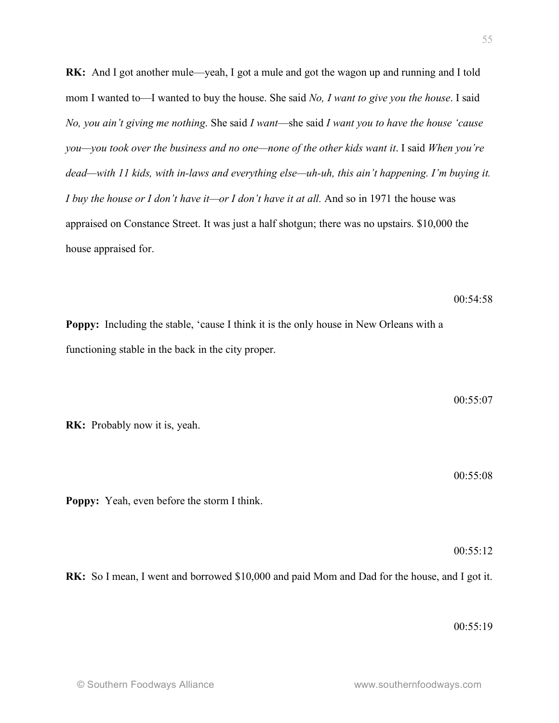**RK:** And I got another mule—yeah, I got a mule and got the wagon up and running and I told mom I wanted to—I wanted to buy the house. She said *No, I want to give you the house*. I said *No, you ain't giving me nothing*. She said *I want*—she said *I want you to have the house 'cause you—you took over the business and no one—none of the other kids want it*. I said *When you're dead—with 11 kids, with in-laws and everything else—uh-uh, this ain't happening. I'm buying it. I buy the house or I don't have it—or I don't have it at all.* And so in 1971 the house was appraised on Constance Street. It was just a half shotgun; there was no upstairs. \$10,000 the house appraised for.

**Poppy:** Including the stable, 'cause I think it is the only house in New Orleans with a functioning stable in the back in the city proper.

**RK:** Probably now it is, yeah.

00:55:08

00:55:07

 $00:54:58$ 

**Poppy:** Yeah, even before the storm I think.

00:55:12

**RK:** So I mean, I went and borrowed \$10,000 and paid Mom and Dad for the house, and I got it.

00:55:19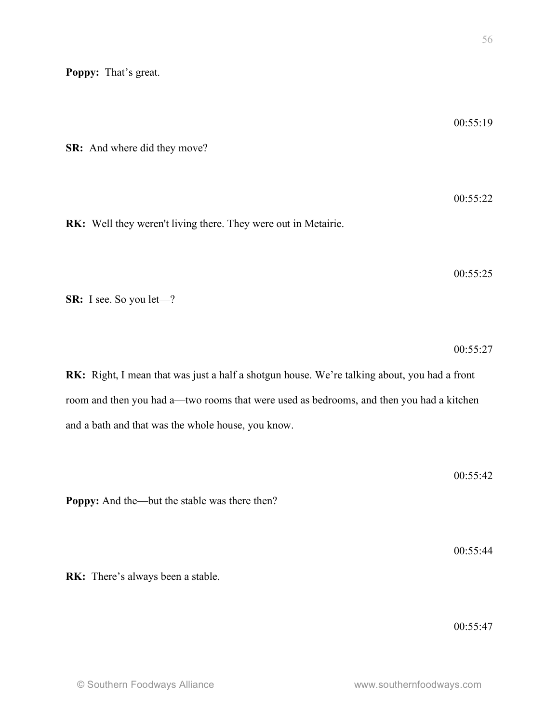**Poppy:** That's great.

**SR:** And where did they move? 00:55:22 **RK:** Well they weren't living there. They were out in Metairie. 00:55:25 **SR:** I see. So you let—? 00:55:27 **RK:** Right, I mean that was just a half a shotgun house. We're talking about, you had a front room and then you had a—two rooms that were used as bedrooms, and then you had a kitchen and a bath and that was the whole house, you know. 00:55:42 **Poppy:** And the—but the stable was there then? 00:55:44 **RK:** There's always been a stable.

00:55:19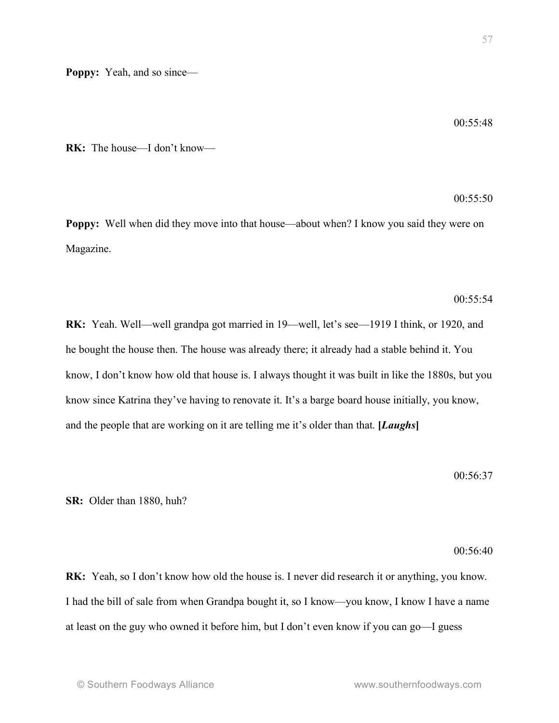00:55:48

**RK:** The house—I don't know—

 $00:55:50$ 

**Poppy:** Well when did they move into that house—about when? I know you said they were on Magazine.

### $00:55:54$

**RK:** Yeah. Well—well grandpa got married in 19—well, let's see—1919 I think, or 1920, and he bought the house then. The house was already there; it already had a stable behind it. You know, I don't know how old that house is. I always thought it was built in like the 1880s, but you know since Katrina they've having to renovate it. It's a barge board house initially, you know, and the people that are working on it are telling me it's older than that. **[***Laughs***]**

## 00:56:37

**SR:** Older than 1880, huh?

#### 00:56:40

**RK:** Yeah, so I don't know how old the house is. I never did research it or anything, you know. I had the bill of sale from when Grandpa bought it, so I know—you know, I know I have a name at least on the guy who owned it before him, but I don't even know if you can go—I guess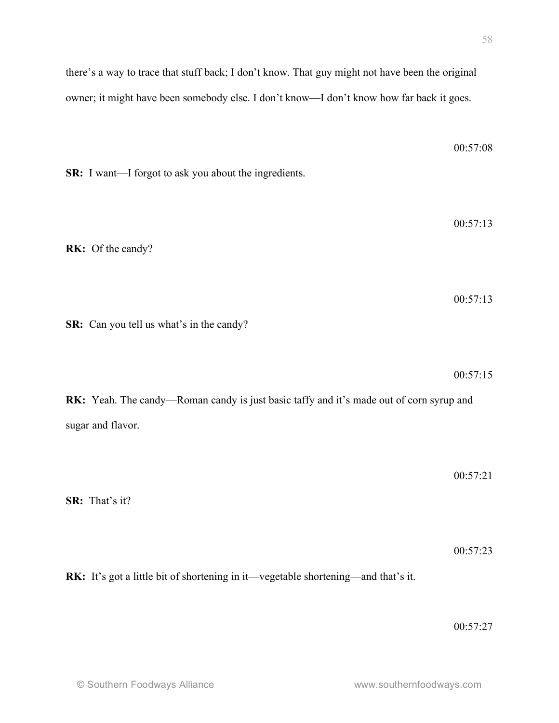00:57:08

there's a way to trace that stuff back; I don't know. That guy might not have been the original owner; it might have been somebody else. I don't know—I don't know how far back it goes.

**SR:** I want—I forgot to ask you about the ingredients.

00:57:13 **RK:** Of the candy? 00:57:13 **SR:** Can you tell us what's in the candy? 00:57:15 **RK:** Yeah. The candy—Roman candy is just basic taffy and it's made out of corn syrup and sugar and flavor. 00:57:21 **SR:** That's it? 00:57:23

**RK:** It's got a little bit of shortening in it—vegetable shortening—and that's it.

00:57:27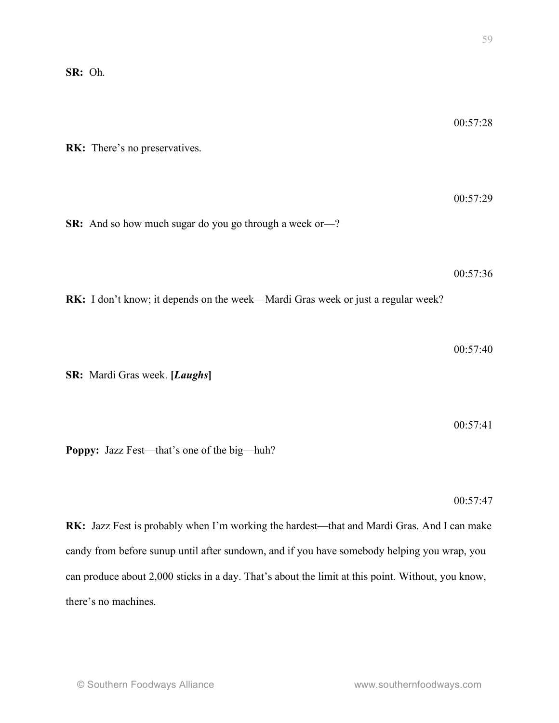**RK:** There's no preservatives.

00:57:29 **SR:** And so how much sugar do you go through a week or—?

00:57:36

**RK:** I don't know; it depends on the week—Mardi Gras week or just a regular week?

 $00.57.40$ 

**SR:** Mardi Gras week. **[***Laughs***]**

00:57:41

**Poppy:** Jazz Fest—that's one of the big—huh?

00:57:47

**RK:** Jazz Fest is probably when I'm working the hardest—that and Mardi Gras. And I can make candy from before sunup until after sundown, and if you have somebody helping you wrap, you can produce about 2,000 sticks in a day. That's about the limit at this point. Without, you know, there's no machines.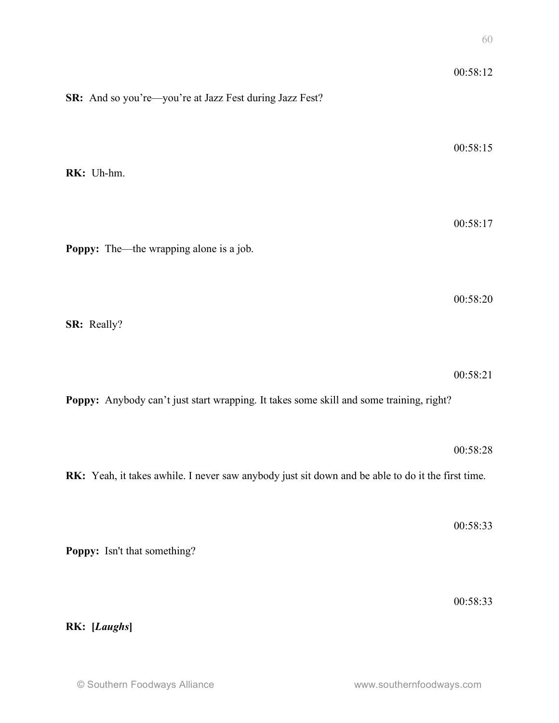| SR: And so you're-you're at Jazz Fest during Jazz Fest?                                           | 00:58:12 |
|---------------------------------------------------------------------------------------------------|----------|
| RK: Uh-hm.                                                                                        | 00:58:15 |
| <b>Poppy:</b> The—the wrapping alone is a job.                                                    | 00:58:17 |
| SR: Really?                                                                                       | 00:58:20 |
|                                                                                                   | 00:58:21 |
| Poppy: Anybody can't just start wrapping. It takes some skill and some training, right?           | 00:58:28 |
| RK: Yeah, it takes awhile. I never saw anybody just sit down and be able to do it the first time. | 00:58:33 |
| Poppy: Isn't that something?                                                                      |          |
| RK: [Laughs]                                                                                      | 00:58:33 |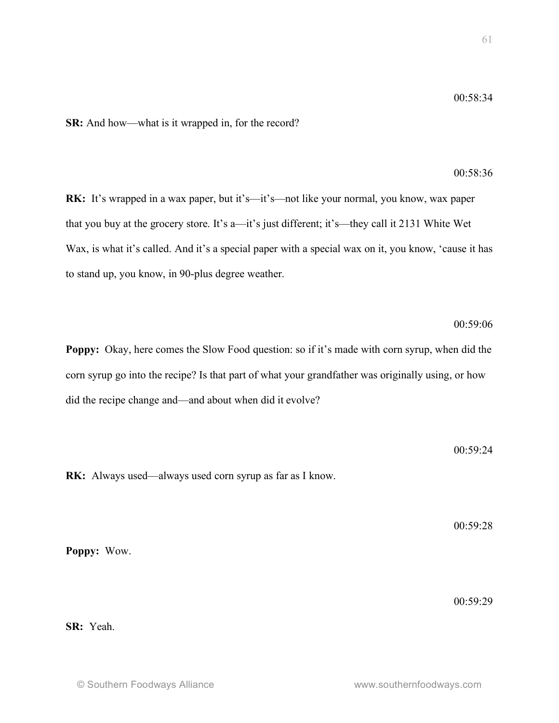**SR:** And how—what is it wrapped in, for the record?

# 00:58:36

00:59:06

**RK:** It's wrapped in a wax paper, but it's—it's—not like your normal, you know, wax paper that you buy at the grocery store. It's a—it's just different; it's—they call it 2131 White Wet Wax, is what it's called. And it's a special paper with a special wax on it, you know, 'cause it has to stand up, you know, in 90-plus degree weather.

**Poppy:** Okay, here comes the Slow Food question: so if it's made with corn syrup, when did the corn syrup go into the recipe? Is that part of what your grandfather was originally using, or how did the recipe change and—and about when did it evolve?

00:59:24

**RK:** Always used—always used corn syrup as far as I know.

00:59:28

**Poppy:** Wow.

00:59:29

**SR:** Yeah.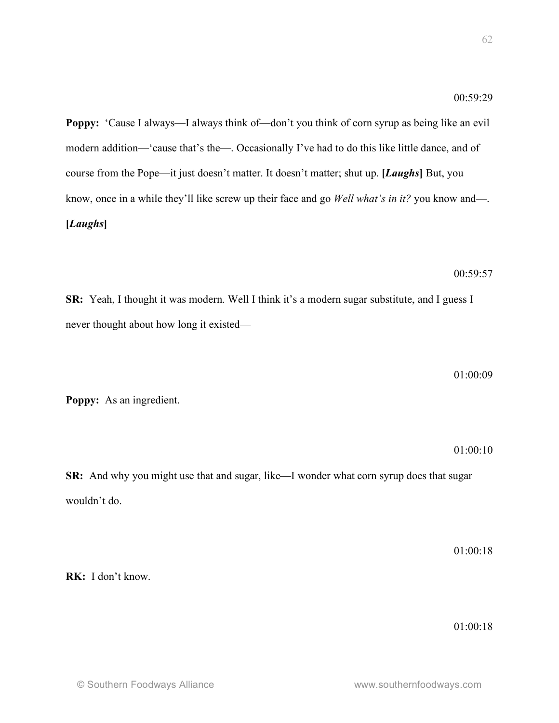**Poppy:** 'Cause I always—I always think of—don't you think of corn syrup as being like an evil modern addition—'cause that's the—. Occasionally I've had to do this like little dance, and of course from the Pope—it just doesn't matter. It doesn't matter; shut up. **[***Laughs***]** But, you know, once in a while they'll like screw up their face and go *Well what's in it?* you know and—. **[***Laughs***]**

00:59:57

**SR:** Yeah, I thought it was modern. Well I think it's a modern sugar substitute, and I guess I never thought about how long it existed—

01:00:09

**Poppy:** As an ingredient.

01:00:10

**SR:** And why you might use that and sugar, like—I wonder what corn syrup does that sugar wouldn't do.

01:00:18

**RK:** I don't know.

01:00:18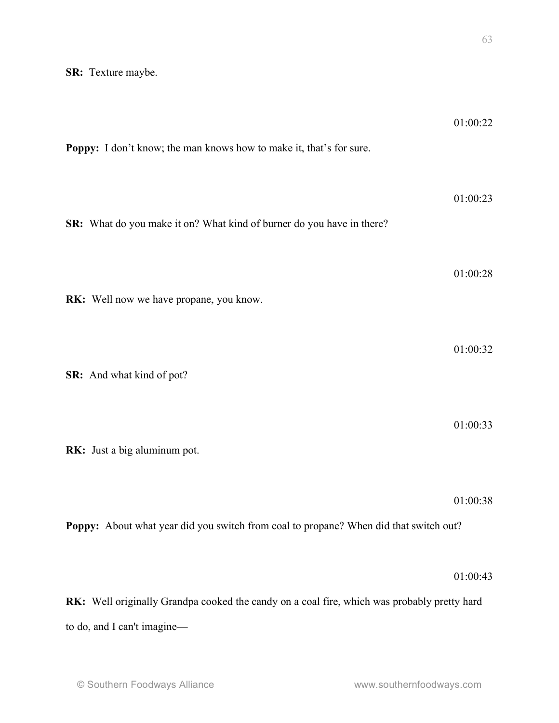| Poppy: I don't know; the man knows how to make it, that's for sure.                         | 01:00:22 |
|---------------------------------------------------------------------------------------------|----------|
| SR: What do you make it on? What kind of burner do you have in there?                       | 01:00:23 |
| RK: Well now we have propane, you know.                                                     | 01:00:28 |
| SR: And what kind of pot?                                                                   | 01:00:32 |
| RK: Just a big aluminum pot.                                                                | 01:00:33 |
| Poppy: About what year did you switch from coal to propane? When did that switch out?       | 01:00:38 |
|                                                                                             | 01:00:43 |
| RK: Well originally Grandpa cooked the candy on a coal fire, which was probably pretty hard |          |
| to do, and I can't imagine-                                                                 |          |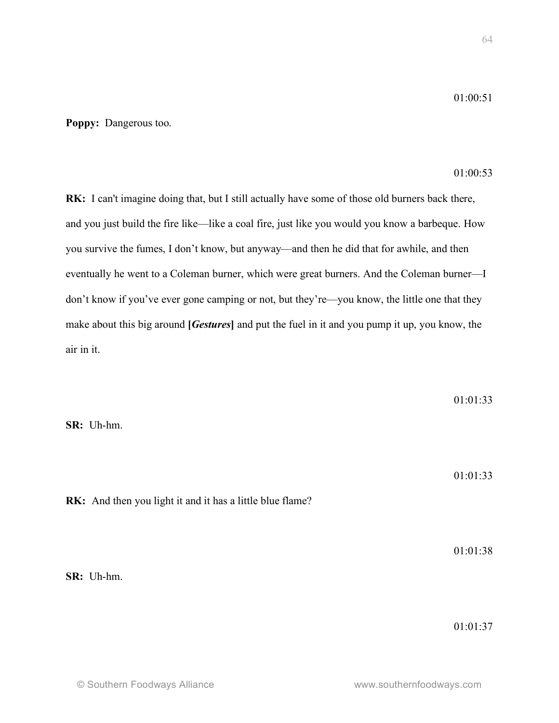**Poppy:** Dangerous too.

01:00:53

**RK:** I can't imagine doing that, but I still actually have some of those old burners back there, and you just build the fire like—like a coal fire, just like you would you know a barbeque. How you survive the fumes, I don't know, but anyway—and then he did that for awhile, and then eventually he went to a Coleman burner, which were great burners. And the Coleman burner—I don't know if you've ever gone camping or not, but they're—you know, the little one that they make about this big around **[***Gestures***]** and put the fuel in it and you pump it up, you know, the air in it.

01:01:33

**SR:** Uh-hm.

01:01:33

**RK:** And then you light it and it has a little blue flame?

01:01:38

**SR:** Uh-hm.

01:01:37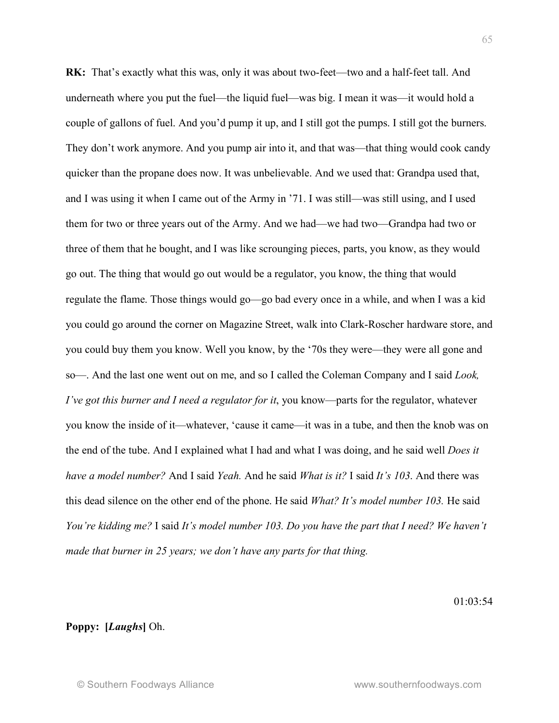**RK:** That's exactly what this was, only it was about two-feet—two and a half-feet tall. And underneath where you put the fuel—the liquid fuel—was big. I mean it was—it would hold a couple of gallons of fuel. And you'd pump it up, and I still got the pumps. I still got the burners. They don't work anymore. And you pump air into it, and that was—that thing would cook candy quicker than the propane does now. It was unbelievable. And we used that: Grandpa used that, and I was using it when I came out of the Army in '71. I was still—was still using, and I used them for two or three years out of the Army. And we had—we had two—Grandpa had two or three of them that he bought, and I was like scrounging pieces, parts, you know, as they would go out. The thing that would go out would be a regulator, you know, the thing that would regulate the flame. Those things would go—go bad every once in a while, and when I was a kid you could go around the corner on Magazine Street, walk into Clark-Roscher hardware store, and you could buy them you know. Well you know, by the '70s they were—they were all gone and so—. And the last one went out on me, and so I called the Coleman Company and I said *Look, I've got this burner and I need a regulator for it*, you know—parts for the regulator, whatever you know the inside of it—whatever, 'cause it came—it was in a tube, and then the knob was on the end of the tube. And I explained what I had and what I was doing, and he said well *Does it have a model number?* And I said *Yeah.* And he said *What is it?* I said *It's 103*. And there was this dead silence on the other end of the phone. He said *What? It's model number 103.* He said *You're kidding me?* I said *It's model number 103. Do you have the part that I need? We haven't made that burner in 25 years; we don't have any parts for that thing.*

01:03:54

## **Poppy: [***Laughs***]** Oh.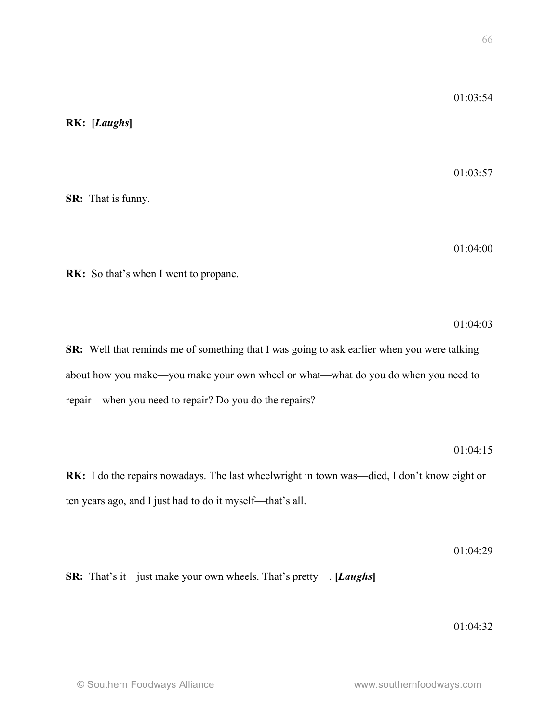# **RK: [***Laughs***]**

01:03:57

**SR:** That is funny.

01:04:00

**RK:** So that's when I went to propane.

01:04:03

**SR:** Well that reminds me of something that I was going to ask earlier when you were talking about how you make—you make your own wheel or what—what do you do when you need to repair—when you need to repair? Do you do the repairs?

01:04:15

**RK:** I do the repairs nowadays. The last wheelwright in town was—died, I don't know eight or ten years ago, and I just had to do it myself—that's all.

01:04:29

**SR:** That's it—just make your own wheels. That's pretty—. **[***Laughs***]**

01:04:32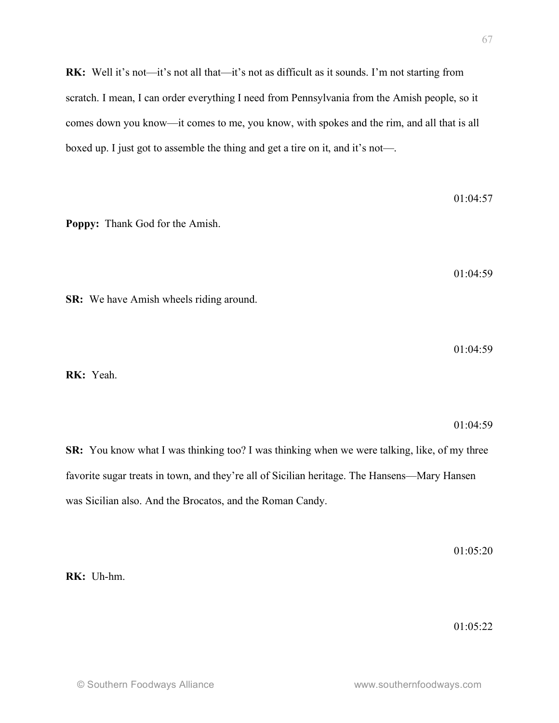**RK:** Well it's not—it's not all that—it's not as difficult as it sounds. I'm not starting from scratch. I mean, I can order everything I need from Pennsylvania from the Amish people, so it comes down you know—it comes to me, you know, with spokes and the rim, and all that is all boxed up. I just got to assemble the thing and get a tire on it, and it's not—.

01:04:57 **Poppy:** Thank God for the Amish. 01:04:59 **SR:** We have Amish wheels riding around.  $01.04.59$ **RK:** Yeah. 01:04:59 **SR:** You know what I was thinking too? I was thinking when we were talking, like, of my three

favorite sugar treats in town, and they're all of Sicilian heritage. The Hansens—Mary Hansen was Sicilian also. And the Brocatos, and the Roman Candy.

01:05:20

**RK:** Uh-hm.

01:05:22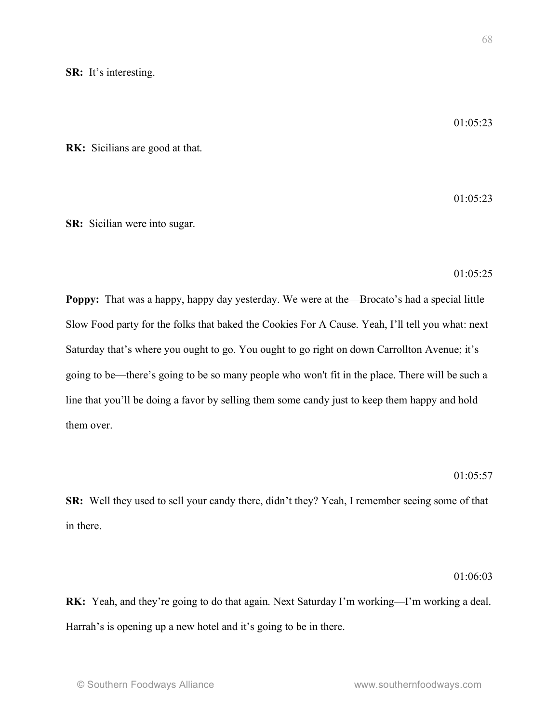01:05:23

01:05:23

**RK:** Sicilians are good at that.

**SR:** Sicilian were into sugar.

01:05:25

**Poppy:** That was a happy, happy day yesterday. We were at the—Brocato's had a special little Slow Food party for the folks that baked the Cookies For A Cause. Yeah, I'll tell you what: next Saturday that's where you ought to go. You ought to go right on down Carrollton Avenue; it's going to be—there's going to be so many people who won't fit in the place. There will be such a line that you'll be doing a favor by selling them some candy just to keep them happy and hold them over.

## 01:05:57

**SR:** Well they used to sell your candy there, didn't they? Yeah, I remember seeing some of that in there.

## $01.06.03$

**RK:** Yeah, and they're going to do that again. Next Saturday I'm working—I'm working a deal. Harrah's is opening up a new hotel and it's going to be in there.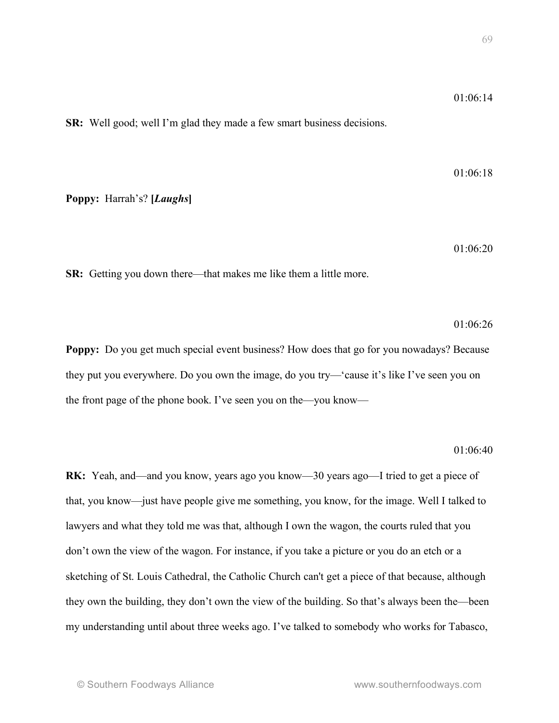**SR:** Well good; well I'm glad they made a few smart business decisions.

01:06:18

**Poppy:** Harrah's? **[***Laughs***]**

01:06:20

**SR:** Getting you down there—that makes me like them a little more.

01:06:26

**Poppy:** Do you get much special event business? How does that go for you nowadays? Because they put you everywhere. Do you own the image, do you try—'cause it's like I've seen you on the front page of the phone book. I've seen you on the—you know—

#### 01:06:40

**RK:** Yeah, and—and you know, years ago you know—30 years ago—I tried to get a piece of that, you know—just have people give me something, you know, for the image. Well I talked to lawyers and what they told me was that, although I own the wagon, the courts ruled that you don't own the view of the wagon. For instance, if you take a picture or you do an etch or a sketching of St. Louis Cathedral, the Catholic Church can't get a piece of that because, although they own the building, they don't own the view of the building. So that's always been the—been my understanding until about three weeks ago. I've talked to somebody who works for Tabasco,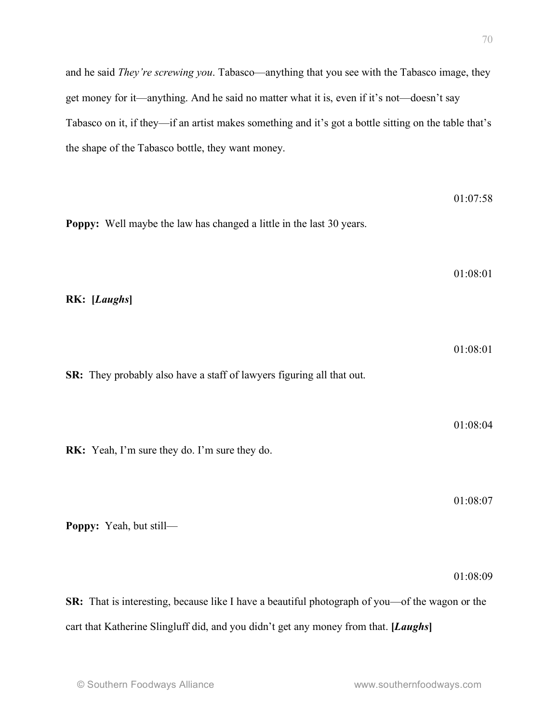and he said *They're screwing you*. Tabasco—anything that you see with the Tabasco image, they get money for it—anything. And he said no matter what it is, even if it's not—doesn't say Tabasco on it, if they—if an artist makes something and it's got a bottle sitting on the table that's the shape of the Tabasco bottle, they want money.

| Poppy: Well maybe the law has changed a little in the last 30 years.                           | 01:07:58 |
|------------------------------------------------------------------------------------------------|----------|
| RK: [Laughs]                                                                                   | 01:08:01 |
| SR: They probably also have a staff of lawyers figuring all that out.                          | 01:08:01 |
| RK: Yeah, I'm sure they do. I'm sure they do.                                                  | 01:08:04 |
| Poppy: Yeah, but still-                                                                        | 01:08:07 |
|                                                                                                | 01:08:09 |
| SR: That is interesting, because like I have a beautiful photograph of you—of the wagon or the |          |
| cart that Katherine Slingluff did, and you didn't get any money from that. [Laughs]            |          |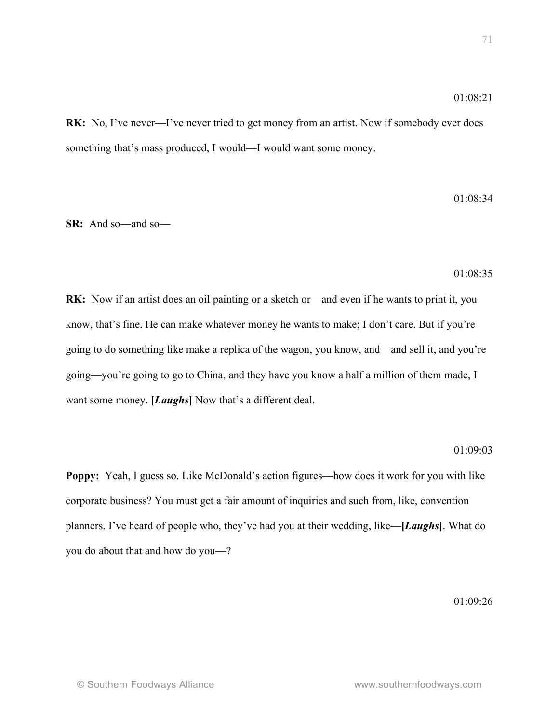**RK:** No, I've never—I've never tried to get money from an artist. Now if somebody ever does something that's mass produced, I would—I would want some money.

 $01.08.34$ 

**SR:** And so—and so—

01:08:35

**RK:** Now if an artist does an oil painting or a sketch or—and even if he wants to print it, you know, that's fine. He can make whatever money he wants to make; I don't care. But if you're going to do something like make a replica of the wagon, you know, and—and sell it, and you're going—you're going to go to China, and they have you know a half a million of them made, I want some money. **[***Laughs***]** Now that's a different deal.

## 01:09:03

**Poppy:** Yeah, I guess so. Like McDonald's action figures—how does it work for you with like corporate business? You must get a fair amount of inquiries and such from, like, convention planners. I've heard of people who, they've had you at their wedding, like—**[***Laughs***]**. What do you do about that and how do you—?

01:09:26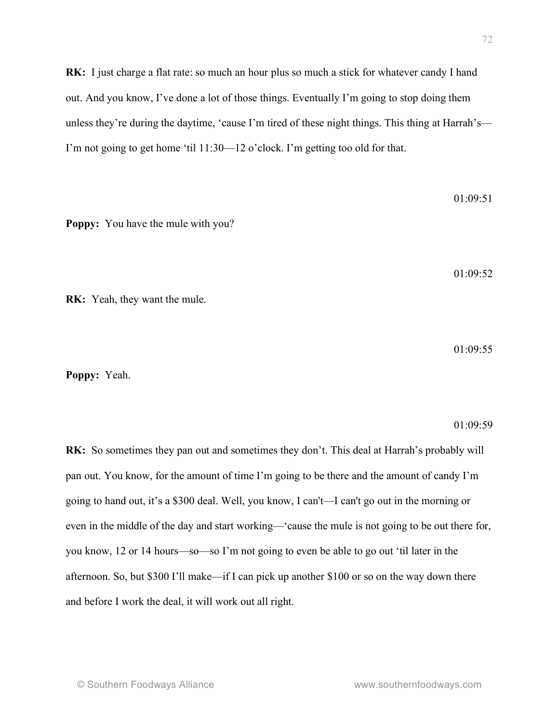**RK:** I just charge a flat rate: so much an hour plus so much a stick for whatever candy I hand out. And you know, I've done a lot of those things. Eventually I'm going to stop doing them unless they're during the daytime, 'cause I'm tired of these night things. This thing at Harrah's— I'm not going to get home 'til 11:30—12 o'clock. I'm getting too old for that.

**Poppy:** You have the mule with you?

01:09:52

 $01.09.51$ 

**RK:** Yeah, they want the mule.

 $01.09.55$ 

**Poppy:** Yeah.

01:09:59

**RK:** So sometimes they pan out and sometimes they don't. This deal at Harrah's probably will pan out. You know, for the amount of time I'm going to be there and the amount of candy I'm going to hand out, it's a \$300 deal. Well, you know, I can't—I can't go out in the morning or even in the middle of the day and start working—'cause the mule is not going to be out there for, you know, 12 or 14 hours—so—so I'm not going to even be able to go out 'til later in the afternoon. So, but \$300 I'll make—if I can pick up another \$100 or so on the way down there and before I work the deal, it will work out all right.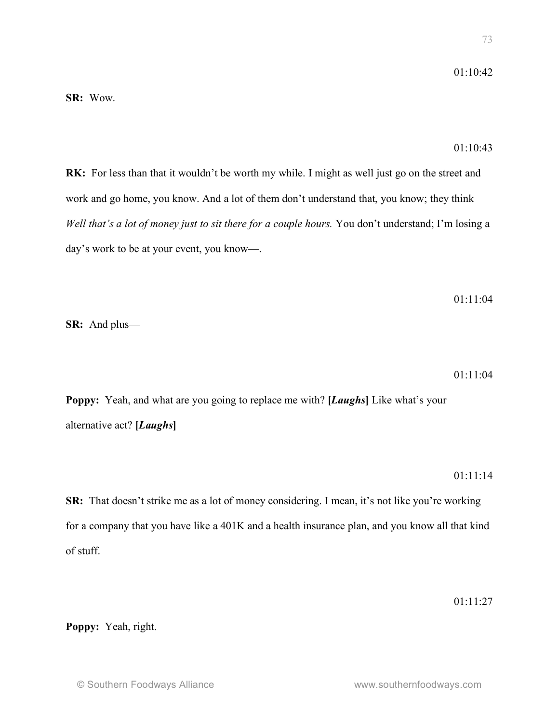**SR:** Wow.

## 01:10:43

**RK:** For less than that it wouldn't be worth my while. I might as well just go on the street and work and go home, you know. And a lot of them don't understand that, you know; they think *Well that's a lot of money just to sit there for a couple hours.* You don't understand; I'm losing a day's work to be at your event, you know—.

01:11:04

**SR:** And plus—

01:11:04

**Poppy:** Yeah, and what are you going to replace me with? **[***Laughs***]** Like what's your alternative act? **[***Laughs***]**

### $01 \cdot 11 \cdot 14$

**SR:** That doesn't strike me as a lot of money considering. I mean, it's not like you're working for a company that you have like a 401K and a health insurance plan, and you know all that kind of stuff.

01:11:27

**Poppy:** Yeah, right.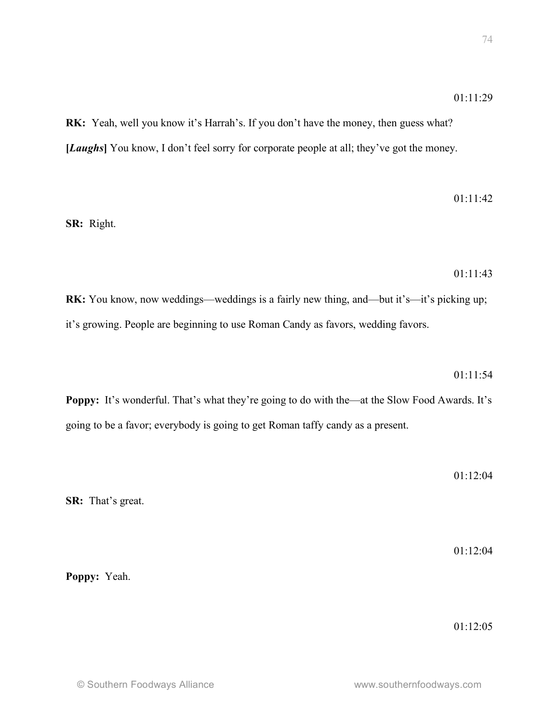**RK:** Yeah, well you know it's Harrah's. If you don't have the money, then guess what? [*Laughs*] You know, I don't feel sorry for corporate people at all; they've got the money.

01:11:42

**SR:** Right.

01:11:43

**RK:** You know, now weddings—weddings is a fairly new thing, and—but it's—it's picking up; it's growing. People are beginning to use Roman Candy as favors, wedding favors.

01:11:54

**Poppy:** It's wonderful. That's what they're going to do with the—at the Slow Food Awards. It's going to be a favor; everybody is going to get Roman taffy candy as a present.

01:12:04

**SR:** That's great.

01:12:04

**Poppy:** Yeah.

01:12:05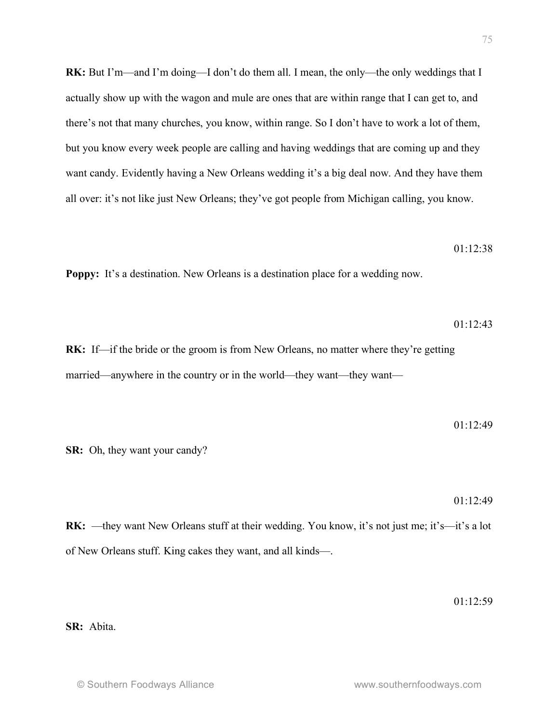**RK:** But I'm—and I'm doing—I don't do them all. I mean, the only—the only weddings that I actually show up with the wagon and mule are ones that are within range that I can get to, and there's not that many churches, you know, within range. So I don't have to work a lot of them, but you know every week people are calling and having weddings that are coming up and they want candy. Evidently having a New Orleans wedding it's a big deal now. And they have them all over: it's not like just New Orleans; they've got people from Michigan calling, you know.

#### 01:12:38

**Poppy:** It's a destination. New Orleans is a destination place for a wedding now.

01:12:43

**RK:** If—if the bride or the groom is from New Orleans, no matter where they're getting married—anywhere in the country or in the world—they want—they want—

$$
01:12:49
$$

**SR:** Oh, they want your candy?

01:12:49

**RK:** —they want New Orleans stuff at their wedding. You know, it's not just me; it's—it's a lot of New Orleans stuff. King cakes they want, and all kinds—.

01:12:59

#### **SR:** Abita.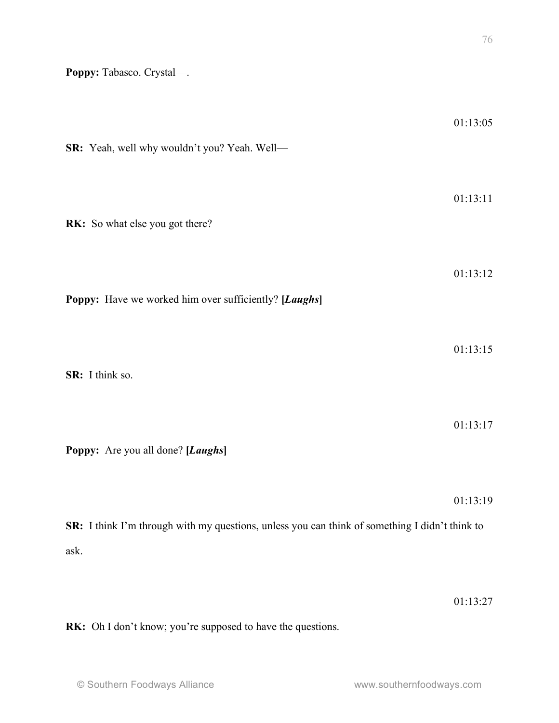**Poppy:** Tabasco. Crystal—.

| SR: Yeah, well why wouldn't you? Yeah. Well-                                                   | 01:13:05 |
|------------------------------------------------------------------------------------------------|----------|
| RK: So what else you got there?                                                                | 01:13:11 |
| Poppy: Have we worked him over sufficiently? [Laughs]                                          | 01:13:12 |
| SR: I think so.                                                                                | 01:13:15 |
| Poppy: Are you all done? [Laughs]                                                              | 01:13:17 |
| SR: I think I'm through with my questions, unless you can think of something I didn't think to | 01:13:19 |
| ask.                                                                                           | 01:13:27 |

**RK:** Oh I don't know; you're supposed to have the questions.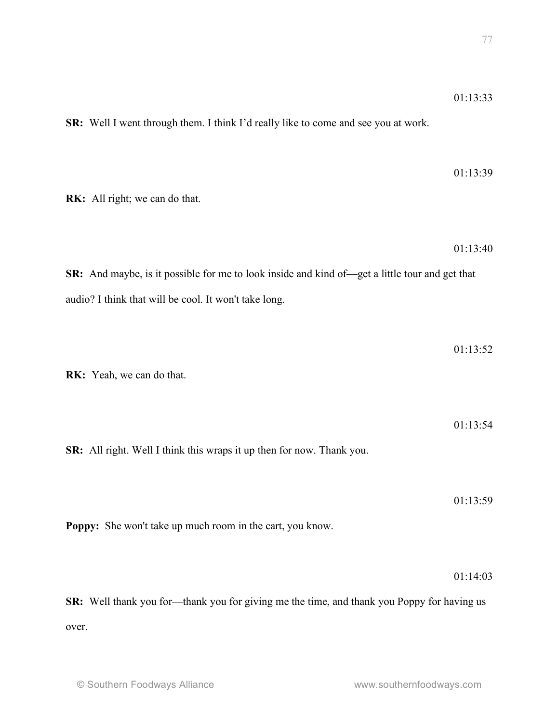**SR:** Well I went through them. I think I'd really like to come and see you at work.

| RK: All right; we can do that.                                                                                                                                 | 01:13:39 |
|----------------------------------------------------------------------------------------------------------------------------------------------------------------|----------|
| <b>SR:</b> And maybe, is it possible for me to look inside and kind of—get a little tour and get that<br>audio? I think that will be cool. It won't take long. | 01:13:40 |
| RK: Yeah, we can do that.                                                                                                                                      | 01:13:52 |
| SR: All right. Well I think this wraps it up then for now. Thank you.                                                                                          | 01:13:54 |
| Poppy: She won't take up much room in the cart, you know.                                                                                                      | 01:13:59 |
| <b>CD.</b> Well then know for them know for giving me the time and then know Denny for hering us                                                               | 01:14:03 |

**SR:** Well thank you for—thank you for giving me the time, and thank you Poppy for having us over.